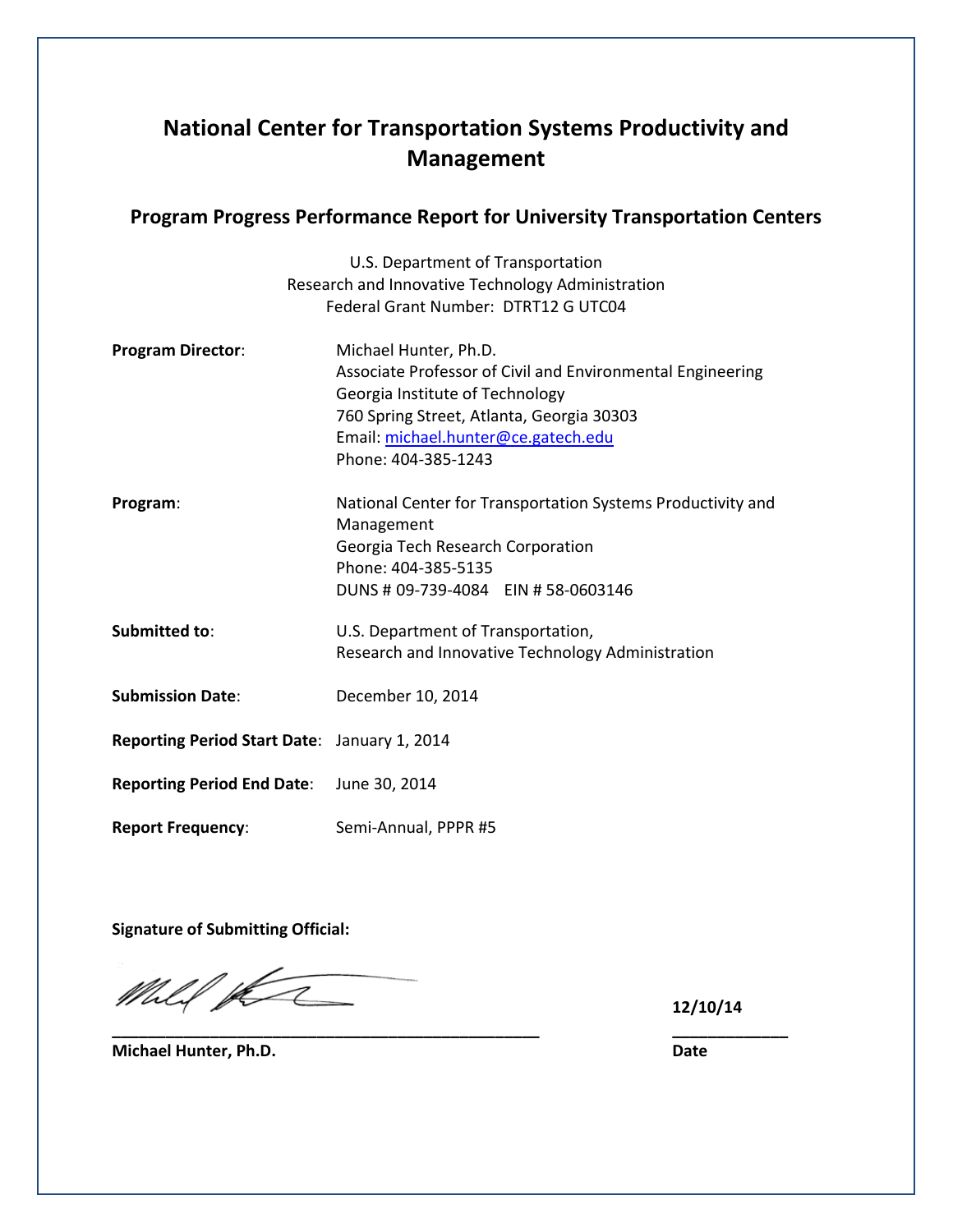# **National Center for Transportation Systems Productivity and Management**

### **Program Progress Performance Report for University Transportation Centers**

|                                              | U.S. Department of Transportation                           |  |
|----------------------------------------------|-------------------------------------------------------------|--|
|                                              | Research and Innovative Technology Administration           |  |
|                                              | Federal Grant Number: DTRT12 G UTC04                        |  |
| <b>Program Director:</b>                     | Michael Hunter, Ph.D.                                       |  |
|                                              | Associate Professor of Civil and Environmental Engineering  |  |
|                                              | Georgia Institute of Technology                             |  |
|                                              | 760 Spring Street, Atlanta, Georgia 30303                   |  |
|                                              | Email: michael.hunter@ce.gatech.edu                         |  |
|                                              | Phone: 404-385-1243                                         |  |
| Program:                                     | National Center for Transportation Systems Productivity and |  |
|                                              | Management                                                  |  |
|                                              | Georgia Tech Research Corporation                           |  |
|                                              | Phone: 404-385-5135                                         |  |
|                                              | DUNS # 09-739-4084 EIN # 58-0603146                         |  |
| Submitted to:                                | U.S. Department of Transportation,                          |  |
|                                              | Research and Innovative Technology Administration           |  |
| <b>Submission Date:</b>                      | December 10, 2014                                           |  |
| Reporting Period Start Date: January 1, 2014 |                                                             |  |
|                                              |                                                             |  |
| Reporting Period End Date: June 30, 2014     |                                                             |  |
| <b>Report Frequency:</b>                     | Semi-Annual, PPPR #5                                        |  |

**\_\_\_\_\_\_\_\_\_\_\_\_\_\_\_\_\_\_\_\_\_\_\_\_\_\_\_\_\_\_\_\_\_\_\_\_\_\_\_\_\_\_\_\_\_\_\_\_ \_\_\_\_\_\_\_\_\_\_\_\_\_**

**Signature of Submitting Official:**

Mill per

**12/10/14**

**Michael Hunter, Ph.D. Date**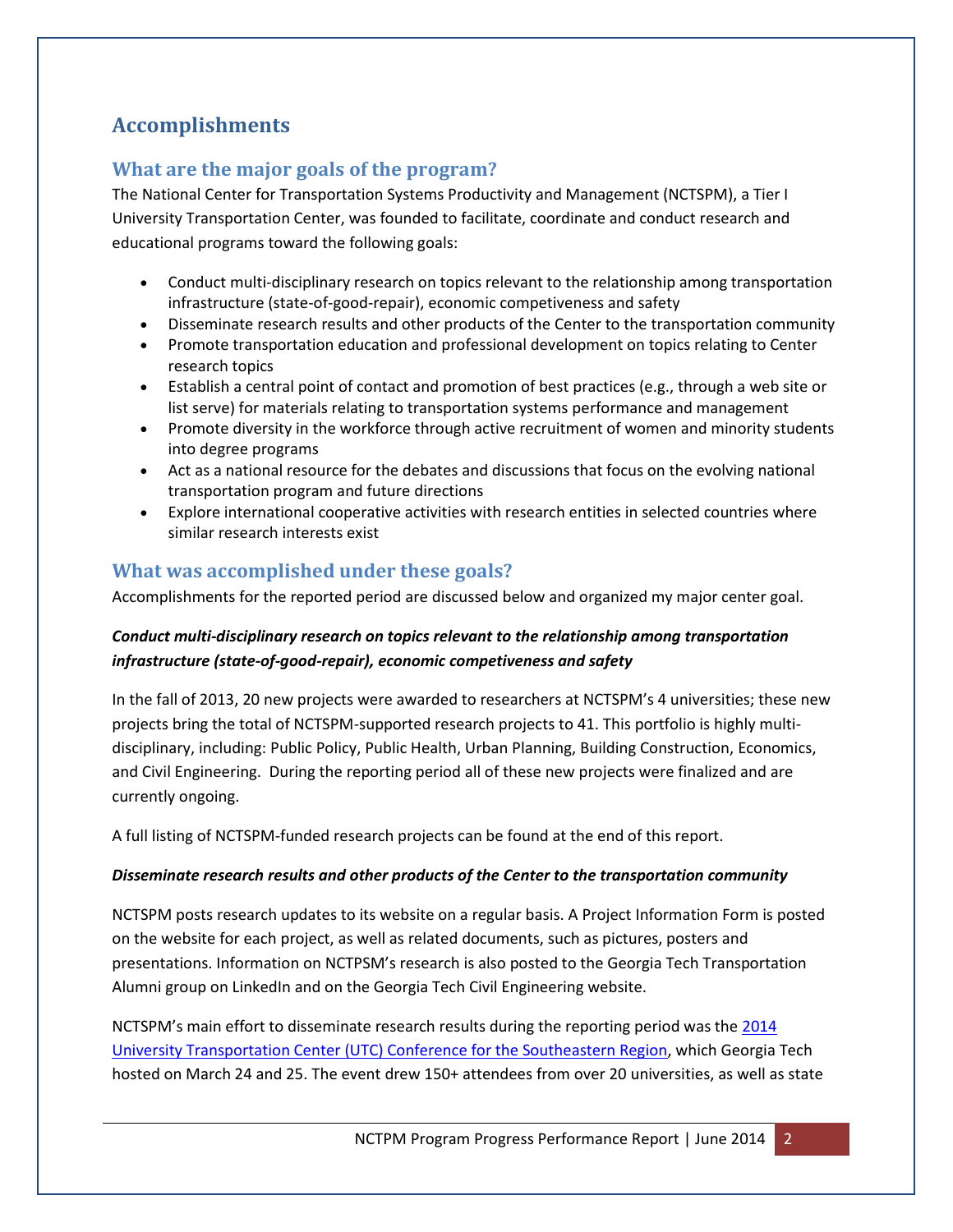# **Accomplishments**

# **What are the major goals of the program?**

The National Center for Transportation Systems Productivity and Management (NCTSPM), a Tier I University Transportation Center, was founded to facilitate, coordinate and conduct research and educational programs toward the following goals:

- Conduct multi-disciplinary research on topics relevant to the relationship among transportation infrastructure (state-of-good-repair), economic competiveness and safety
- Disseminate research results and other products of the Center to the transportation community
- Promote transportation education and professional development on topics relating to Center research topics
- Establish a central point of contact and promotion of best practices (e.g., through a web site or list serve) for materials relating to transportation systems performance and management
- Promote diversity in the workforce through active recruitment of women and minority students into degree programs
- Act as a national resource for the debates and discussions that focus on the evolving national transportation program and future directions
- Explore international cooperative activities with research entities in selected countries where similar research interests exist

### **What was accomplished under these goals?**

Accomplishments for the reported period are discussed below and organized my major center goal.

### *Conduct multi-disciplinary research on topics relevant to the relationship among transportation infrastructure (state-of-good-repair), economic competiveness and safety*

In the fall of 2013, 20 new projects were awarded to researchers at NCTSPM's 4 universities; these new projects bring the total of NCTSPM-supported research projects to 41. This portfolio is highly multidisciplinary, including: Public Policy, Public Health, Urban Planning, Building Construction, Economics, and Civil Engineering. During the reporting period all of these new projects were finalized and are currently ongoing.

A full listing of NCTSPM-funded research projects can be found at the end of this report.

#### *Disseminate research results and other products of the Center to the transportation community*

NCTSPM posts research updates to its website on a regular basis. A Project Information Form is posted on the website for each project, as well as related documents, such as pictures, posters and presentations. Information on NCTPSM's research is also posted to the Georgia Tech Transportation Alumni group on LinkedIn and on the Georgia Tech Civil Engineering website.

NCTSPM's main effort to disseminate research results during the reporting period was the 2014 [University Transportation Center \(UTC\) Conference for the Southeastern Region,](http://nctspm.gatech.edu/2014Conference) which Georgia Tech hosted on March 24 and 25. The event drew 150+ attendees from over 20 universities, as well as state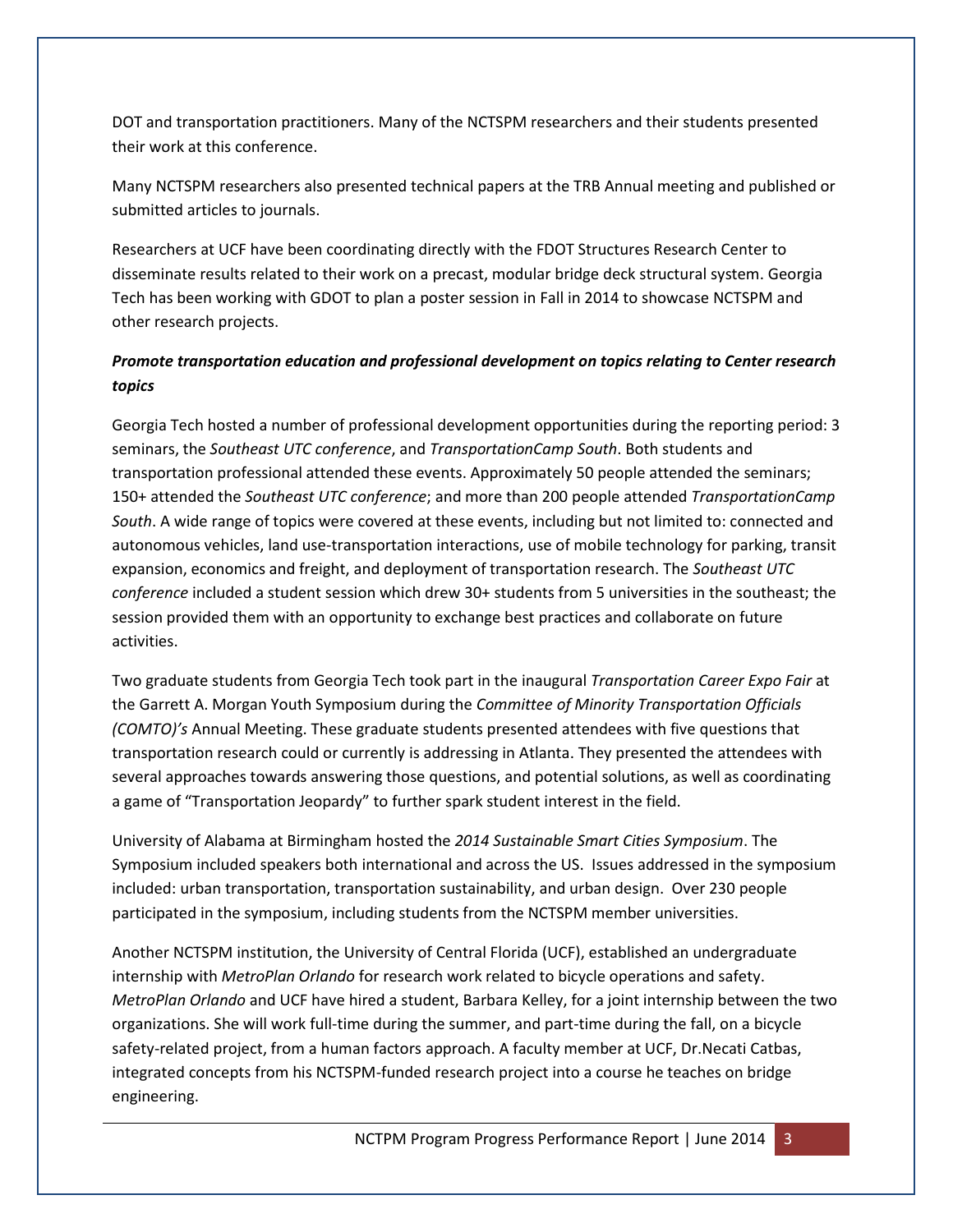DOT and transportation practitioners. Many of the NCTSPM researchers and their students presented their work at this conference.

Many NCTSPM researchers also presented technical papers at the TRB Annual meeting and published or submitted articles to journals.

Researchers at UCF have been coordinating directly with the FDOT Structures Research Center to disseminate results related to their work on a precast, modular bridge deck structural system. Georgia Tech has been working with GDOT to plan a poster session in Fall in 2014 to showcase NCTSPM and other research projects.

### *Promote transportation education and professional development on topics relating to Center research topics*

Georgia Tech hosted a number of professional development opportunities during the reporting period: 3 seminars, the *Southeast UTC conference*, and *TransportationCamp South*. Both students and transportation professional attended these events. Approximately 50 people attended the seminars; 150+ attended the *Southeast UTC conference*; and more than 200 people attended *TransportationCamp South*. A wide range of topics were covered at these events, including but not limited to: connected and autonomous vehicles, land use-transportation interactions, use of mobile technology for parking, transit expansion, economics and freight, and deployment of transportation research. The *Southeast UTC conference* included a student session which drew 30+ students from 5 universities in the southeast; the session provided them with an opportunity to exchange best practices and collaborate on future activities.

Two graduate students from Georgia Tech took part in the inaugural *Transportation Career Expo Fair* at the Garrett A. Morgan Youth Symposium during the *Committee of Minority Transportation Officials (COMTO)'s* Annual Meeting. These graduate students presented attendees with five questions that transportation research could or currently is addressing in Atlanta. They presented the attendees with several approaches towards answering those questions, and potential solutions, as well as coordinating a game of "Transportation Jeopardy" to further spark student interest in the field.

University of Alabama at Birmingham hosted the *2014 Sustainable Smart Cities Symposium*. The Symposium included speakers both international and across the US. Issues addressed in the symposium included: urban transportation, transportation sustainability, and urban design. Over 230 people participated in the symposium, including students from the NCTSPM member universities.

Another NCTSPM institution, the University of Central Florida (UCF), established an undergraduate internship with *MetroPlan Orlando* for research work related to bicycle operations and safety. *MetroPlan Orlando* and UCF have hired a student, Barbara Kelley, for a joint internship between the two organizations. She will work full-time during the summer, and part-time during the fall, on a bicycle safety-related project, from a human factors approach. A faculty member at UCF, Dr.Necati Catbas, integrated concepts from his NCTSPM-funded research project into a course he teaches on bridge engineering.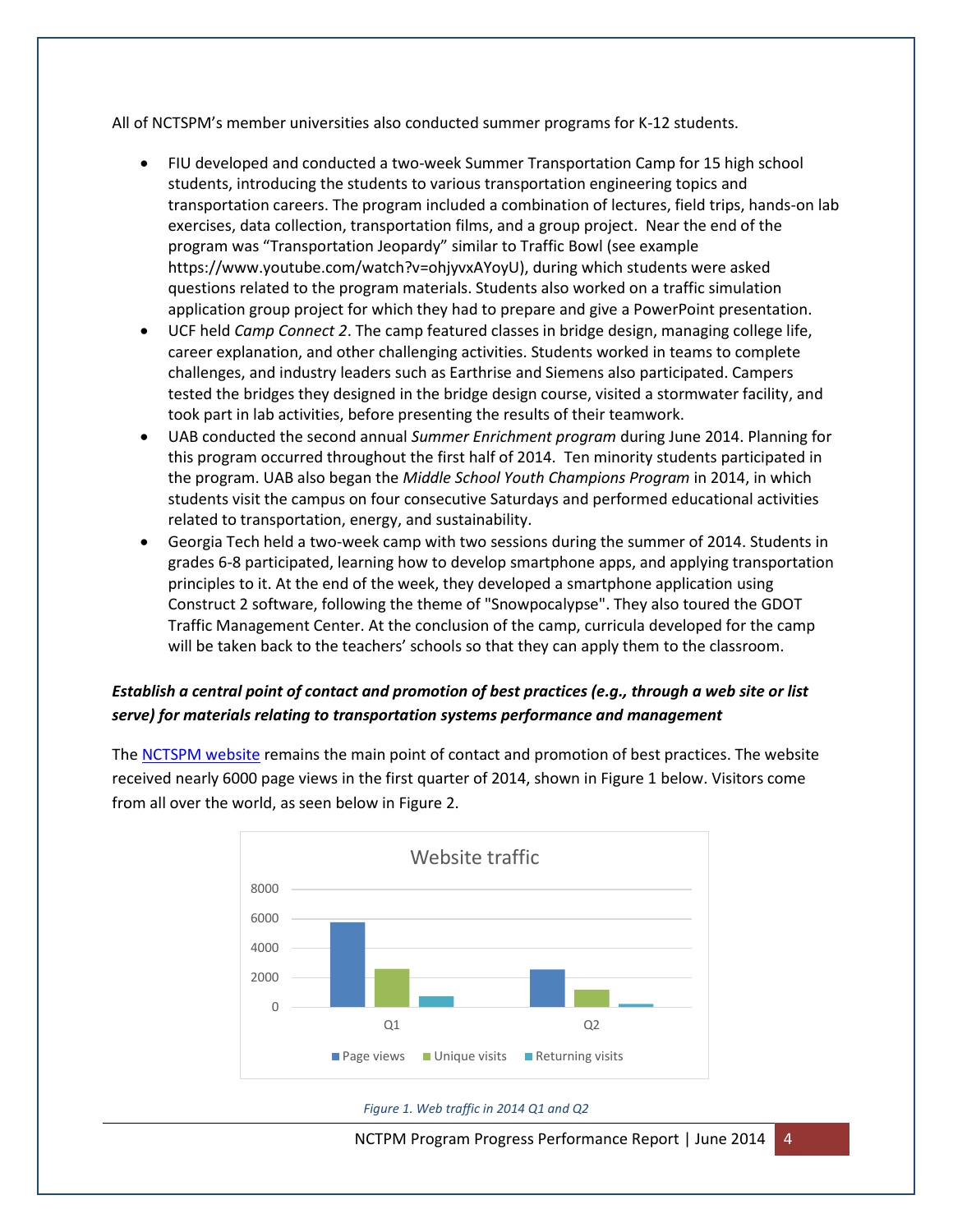All of NCTSPM's member universities also conducted summer programs for K-12 students.

- FIU developed and conducted a two-week Summer Transportation Camp for 15 high school students, introducing the students to various transportation engineering topics and transportation careers. The program included a combination of lectures, field trips, hands-on lab exercises, data collection, transportation films, and a group project. Near the end of the program was "Transportation Jeopardy" similar to Traffic Bowl (see example https://www.youtube.com/watch?v=ohjyvxAYoyU), during which students were asked questions related to the program materials. Students also worked on a traffic simulation application group project for which they had to prepare and give a PowerPoint presentation.
- UCF held *Camp Connect 2*. The camp featured classes in bridge design, managing college life, career explanation, and other challenging activities. Students worked in teams to complete challenges, and industry leaders such as Earthrise and Siemens also participated. Campers tested the bridges they designed in the bridge design course, visited a stormwater facility, and took part in lab activities, before presenting the results of their teamwork.
- UAB conducted the second annual *Summer Enrichment program* during June 2014. Planning for this program occurred throughout the first half of 2014. Ten minority students participated in the program. UAB also began the *Middle School Youth Champions Program* in 2014, in which students visit the campus on four consecutive Saturdays and performed educational activities related to transportation, energy, and sustainability.
- Georgia Tech held a two-week camp with two sessions during the summer of 2014. Students in grades 6-8 participated, learning how to develop smartphone apps, and applying transportation principles to it. At the end of the week, they developed a smartphone application using Construct 2 software, following the theme of "Snowpocalypse". They also toured the GDOT Traffic Management Center. At the conclusion of the camp, curricula developed for the camp will be taken back to the teachers' schools so that they can apply them to the classroom.

### *Establish a central point of contact and promotion of best practices (e.g., through a web site or list serve) for materials relating to transportation systems performance and management*

The [NCTSPM website](http://nctspm.gatech.edu/) remains the main point of contact and promotion of best practices. The website received nearly 6000 page views in the first quarter of 2014, shown in Figure 1 below. Visitors come from all over the world, as seen below in Figure 2.



#### *Figure 1. Web traffic in 2014 Q1 and Q2*

NCTPM Program Progress Performance Report | June 2014 4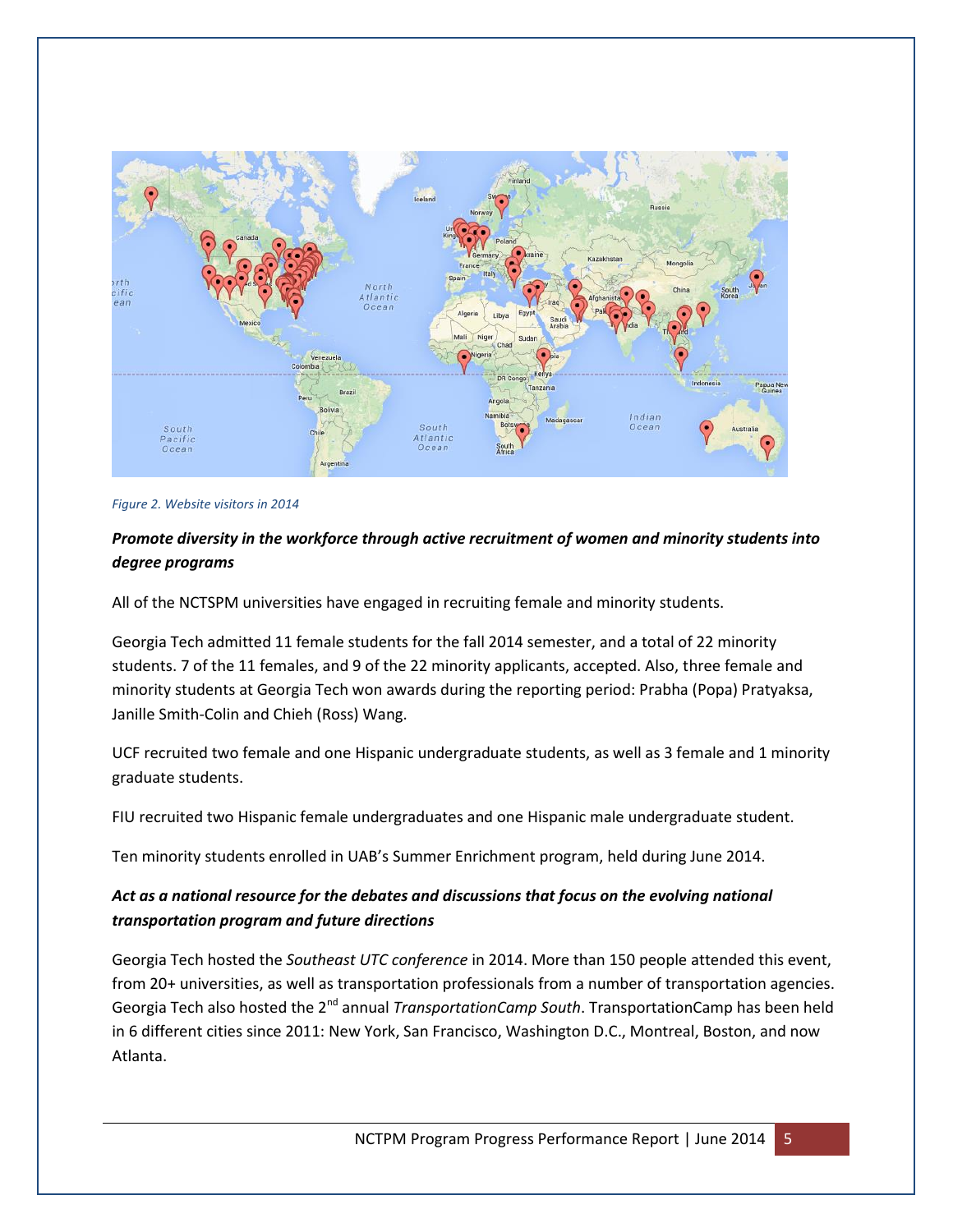

*Figure 2. Website visitors in 2014*

### *Promote diversity in the workforce through active recruitment of women and minority students into degree programs*

All of the NCTSPM universities have engaged in recruiting female and minority students.

Georgia Tech admitted 11 female students for the fall 2014 semester, and a total of 22 minority students. 7 of the 11 females, and 9 of the 22 minority applicants, accepted. Also, three female and minority students at Georgia Tech won awards during the reporting period: Prabha (Popa) Pratyaksa, Janille Smith-Colin and Chieh (Ross) Wang.

UCF recruited two female and one Hispanic undergraduate students, as well as 3 female and 1 minority graduate students.

FIU recruited two Hispanic female undergraduates and one Hispanic male undergraduate student.

Ten minority students enrolled in UAB's Summer Enrichment program, held during June 2014.

### *Act as a national resource for the debates and discussions that focus on the evolving national transportation program and future directions*

Georgia Tech hosted the *Southeast UTC conference* in 2014. More than 150 people attended this event, from 20+ universities, as well as transportation professionals from a number of transportation agencies. Georgia Tech also hosted the 2nd annual *TransportationCamp South*. TransportationCamp has been held in 6 different cities since 2011: New York, San Francisco, Washington D.C., Montreal, Boston, and now Atlanta.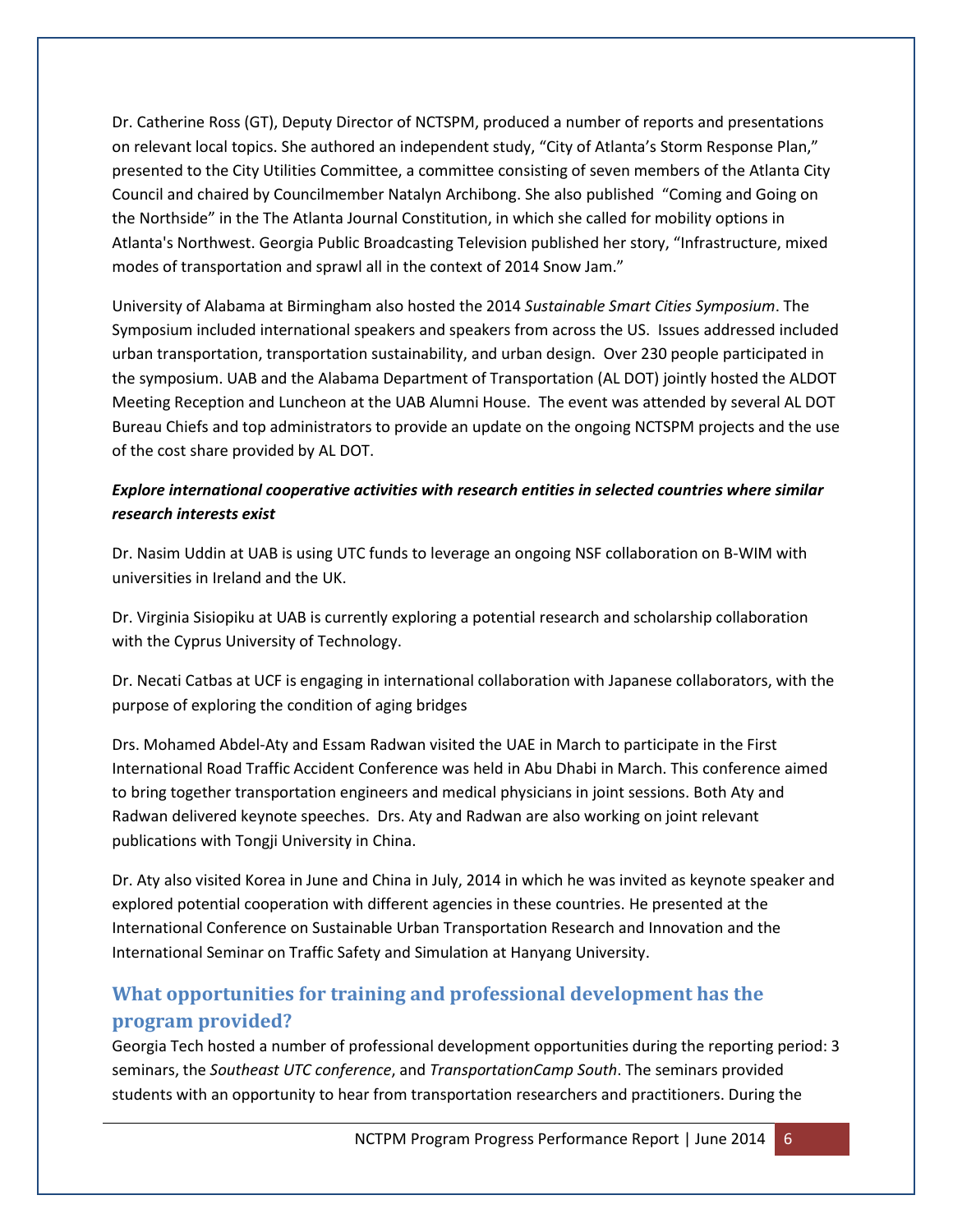Dr. Catherine Ross (GT), Deputy Director of NCTSPM, produced a number of reports and presentations on relevant local topics. She authored an independent study, "City of Atlanta's Storm Response Plan," presented to the City Utilities Committee, a committee consisting of seven members of the Atlanta City Council and chaired by Councilmember Natalyn Archibong. She also published "Coming and Going on the Northside" in the The Atlanta Journal Constitution, in which she called for mobility options in Atlanta's Northwest. Georgia Public Broadcasting Television published her story, "Infrastructure, mixed modes of transportation and sprawl all in the context of 2014 Snow Jam."

University of Alabama at Birmingham also hosted the 2014 *Sustainable Smart Cities Symposium*. The Symposium included international speakers and speakers from across the US. Issues addressed included urban transportation, transportation sustainability, and urban design. Over 230 people participated in the symposium. UAB and the Alabama Department of Transportation (AL DOT) jointly hosted the ALDOT Meeting Reception and Luncheon at the UAB Alumni House. The event was attended by several AL DOT Bureau Chiefs and top administrators to provide an update on the ongoing NCTSPM projects and the use of the cost share provided by AL DOT.

### *Explore international cooperative activities with research entities in selected countries where similar research interests exist*

Dr. Nasim Uddin at UAB is using UTC funds to leverage an ongoing NSF collaboration on B-WIM with universities in Ireland and the UK.

Dr. Virginia Sisiopiku at UAB is currently exploring a potential research and scholarship collaboration with the Cyprus University of Technology.

Dr. Necati Catbas at UCF is engaging in international collaboration with Japanese collaborators, with the purpose of exploring the condition of aging bridges

Drs. Mohamed Abdel-Aty and Essam Radwan visited the UAE in March to participate in the First International Road Traffic Accident Conference was held in Abu Dhabi in March. This conference aimed to bring together transportation engineers and medical physicians in joint sessions. Both Aty and Radwan delivered keynote speeches. Drs. Aty and Radwan are also working on joint relevant publications with Tongji University in China.

Dr. Aty also visited Korea in June and China in July, 2014 in which he was invited as keynote speaker and explored potential cooperation with different agencies in these countries. He presented at the International Conference on Sustainable Urban Transportation Research and Innovation and the International Seminar on Traffic Safety and Simulation at Hanyang University.

# **What opportunities for training and professional development has the program provided?**

Georgia Tech hosted a number of professional development opportunities during the reporting period: 3 seminars, the *Southeast UTC conference*, and *TransportationCamp South*. The seminars provided students with an opportunity to hear from transportation researchers and practitioners. During the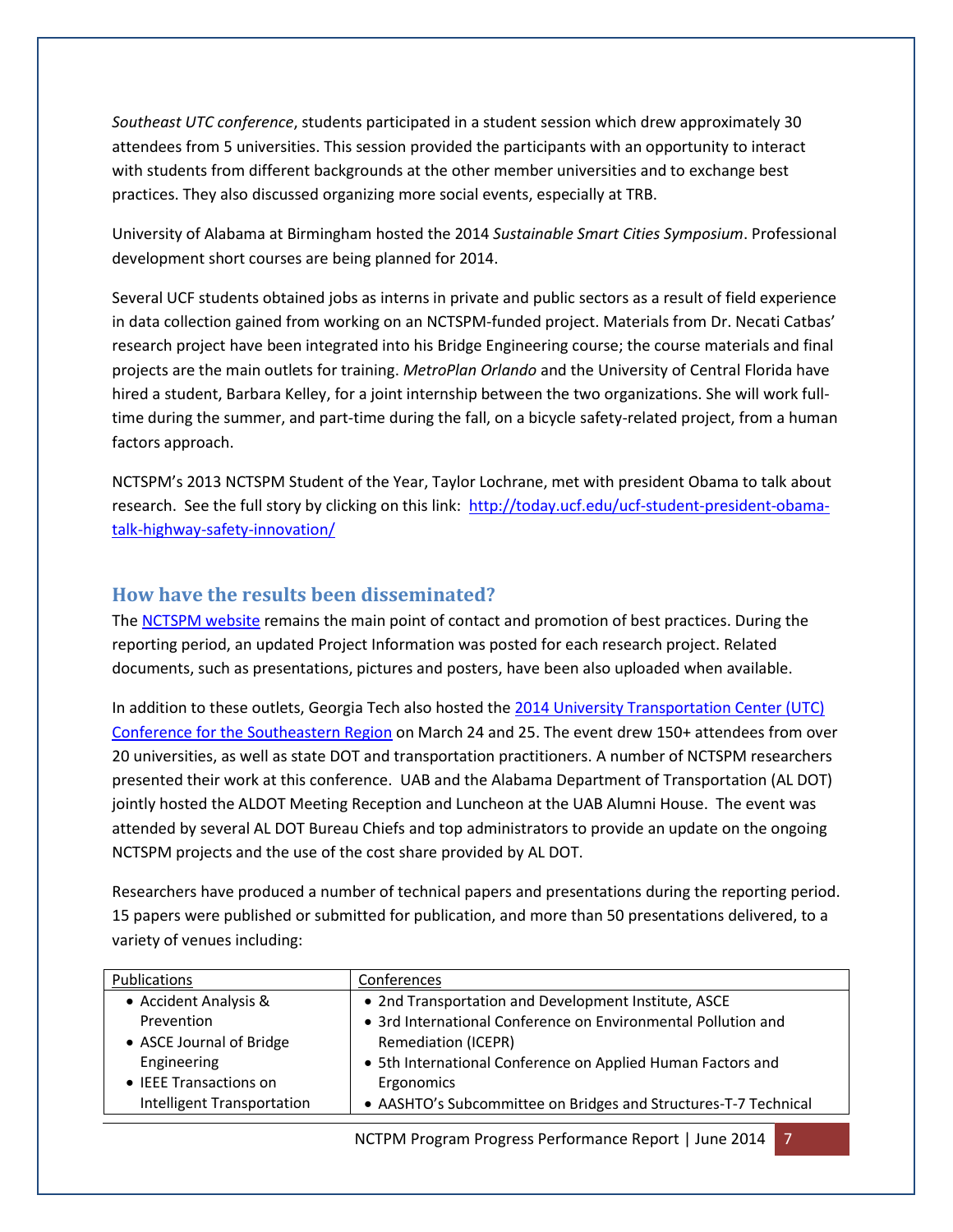*Southeast UTC conference*, students participated in a student session which drew approximately 30 attendees from 5 universities. This session provided the participants with an opportunity to interact with students from different backgrounds at the other member universities and to exchange best practices. They also discussed organizing more social events, especially at TRB.

University of Alabama at Birmingham hosted the 2014 *Sustainable Smart Cities Symposium*. Professional development short courses are being planned for 2014.

Several UCF students obtained jobs as interns in private and public sectors as a result of field experience in data collection gained from working on an NCTSPM-funded project. Materials from Dr. Necati Catbas' research project have been integrated into his Bridge Engineering course; the course materials and final projects are the main outlets for training. *MetroPlan Orlando* and the University of Central Florida have hired a student, Barbara Kelley, for a joint internship between the two organizations. She will work fulltime during the summer, and part-time during the fall, on a bicycle safety-related project, from a human factors approach.

NCTSPM's 2013 NCTSPM Student of the Year, Taylor Lochrane, met with president Obama to talk about research. See the full story by clicking on this link: [http://today.ucf.edu/ucf-student-president-obama](http://today.ucf.edu/ucf-student-president-obama-talk-highway-safety-innovation/)[talk-highway-safety-innovation/](http://today.ucf.edu/ucf-student-president-obama-talk-highway-safety-innovation/)

### **How have the results been disseminated?**

The [NCTSPM website](http://nctspm.gatech.edu/) remains the main point of contact and promotion of best practices. During the reporting period, an updated Project Information was posted for each research project. Related documents, such as presentations, pictures and posters, have been also uploaded when available.

In addition to these outlets, Georgia Tech also hosted the 2014 University Transportation Center (UTC) [Conference for the Southeastern Region](http://nctspm.gatech.edu/2014Conference) on March 24 and 25. The event drew 150+ attendees from over 20 universities, as well as state DOT and transportation practitioners. A number of NCTSPM researchers presented their work at this conference. UAB and the Alabama Department of Transportation (AL DOT) jointly hosted the ALDOT Meeting Reception and Luncheon at the UAB Alumni House. The event was attended by several AL DOT Bureau Chiefs and top administrators to provide an update on the ongoing NCTSPM projects and the use of the cost share provided by AL DOT.

Researchers have produced a number of technical papers and presentations during the reporting period. 15 papers were published or submitted for publication, and more than 50 presentations delivered, to a variety of venues including:

| Publications               | Conferences                                                     |
|----------------------------|-----------------------------------------------------------------|
| • Accident Analysis &      | • 2nd Transportation and Development Institute, ASCE            |
| Prevention                 | • 3rd International Conference on Environmental Pollution and   |
| • ASCE Journal of Bridge   | <b>Remediation (ICEPR)</b>                                      |
| Engineering                | • 5th International Conference on Applied Human Factors and     |
| • IEEE Transactions on     | Ergonomics                                                      |
| Intelligent Transportation | • AASHTO's Subcommittee on Bridges and Structures-T-7 Technical |

NCTPM Program Progress Performance Report | June 2014 7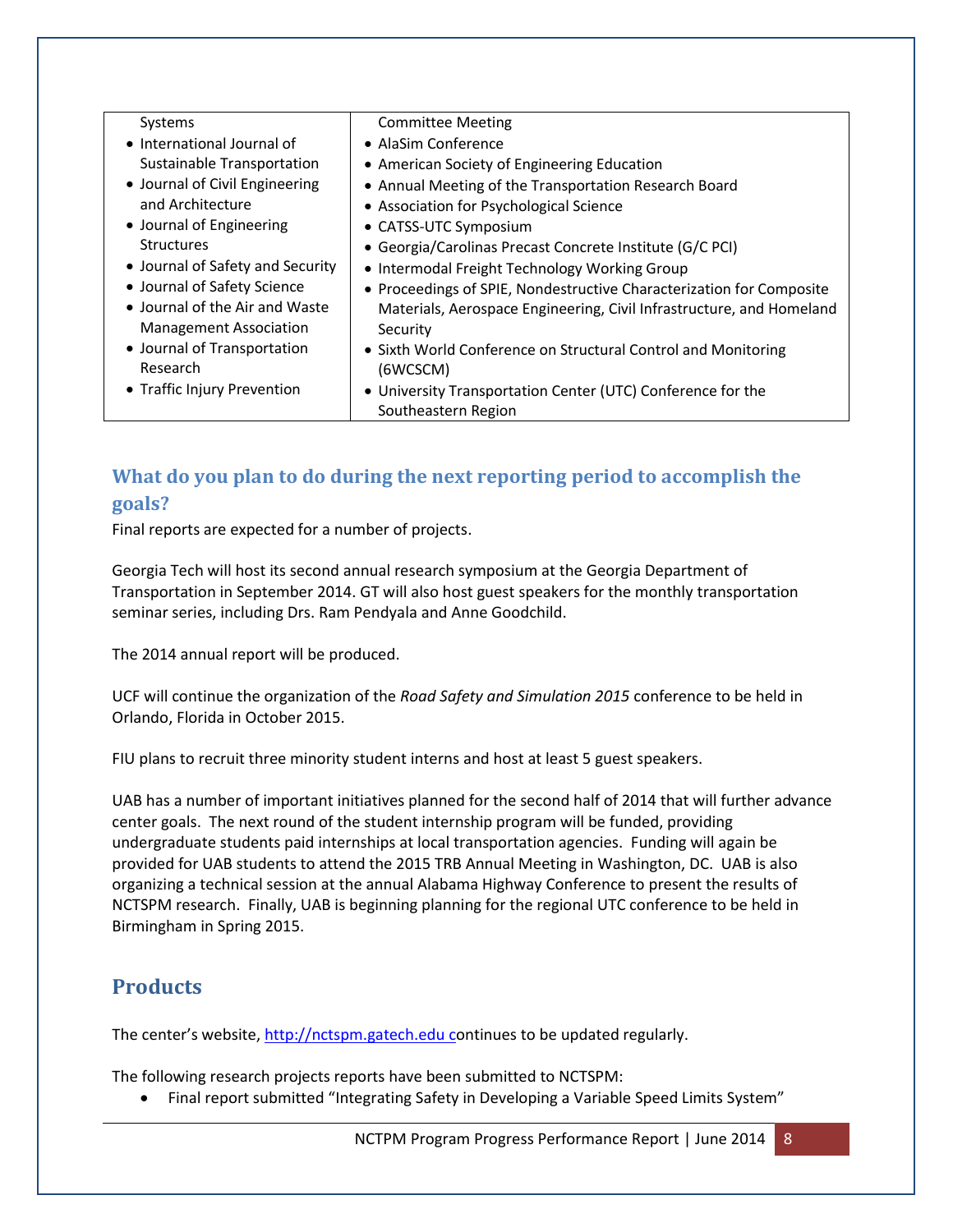| Systems                          | <b>Committee Meeting</b>                                             |
|----------------------------------|----------------------------------------------------------------------|
| • International Journal of       | • AlaSim Conference                                                  |
| Sustainable Transportation       | • American Society of Engineering Education                          |
| • Journal of Civil Engineering   | • Annual Meeting of the Transportation Research Board                |
| and Architecture                 | • Association for Psychological Science                              |
| • Journal of Engineering         | • CATSS-UTC Symposium                                                |
| <b>Structures</b>                | • Georgia/Carolinas Precast Concrete Institute (G/C PCI)             |
| • Journal of Safety and Security | • Intermodal Freight Technology Working Group                        |
| • Journal of Safety Science      | • Proceedings of SPIE, Nondestructive Characterization for Composite |
| • Journal of the Air and Waste   | Materials, Aerospace Engineering, Civil Infrastructure, and Homeland |
| <b>Management Association</b>    | Security                                                             |
| • Journal of Transportation      | • Sixth World Conference on Structural Control and Monitoring        |
| Research                         | (6WCSCM)                                                             |
| • Traffic Injury Prevention      | • University Transportation Center (UTC) Conference for the          |
|                                  | Southeastern Region                                                  |
|                                  |                                                                      |

# **What do you plan to do during the next reporting period to accomplish the goals?**

Final reports are expected for a number of projects.

Georgia Tech will host its second annual research symposium at the Georgia Department of Transportation in September 2014. GT will also host guest speakers for the monthly transportation seminar series, including Drs. Ram Pendyala and Anne Goodchild.

The 2014 annual report will be produced.

UCF will continue the organization of the *Road Safety and Simulation 2015* conference to be held in Orlando, Florida in October 2015.

FIU plans to recruit three minority student interns and host at least 5 guest speakers.

UAB has a number of important initiatives planned for the second half of 2014 that will further advance center goals. The next round of the student internship program will be funded, providing undergraduate students paid internships at local transportation agencies. Funding will again be provided for UAB students to attend the 2015 TRB Annual Meeting in Washington, DC. UAB is also organizing a technical session at the annual Alabama Highway Conference to present the results of NCTSPM research. Finally, UAB is beginning planning for the regional UTC conference to be held in Birmingham in Spring 2015.

# **Products**

The center's website, [http://nctspm.gatech.edu](http://nctspm.gatech.edu/) continues to be updated regularly.

The following research projects reports have been submitted to NCTSPM:

• Final report submitted "Integrating Safety in Developing a Variable Speed Limits System"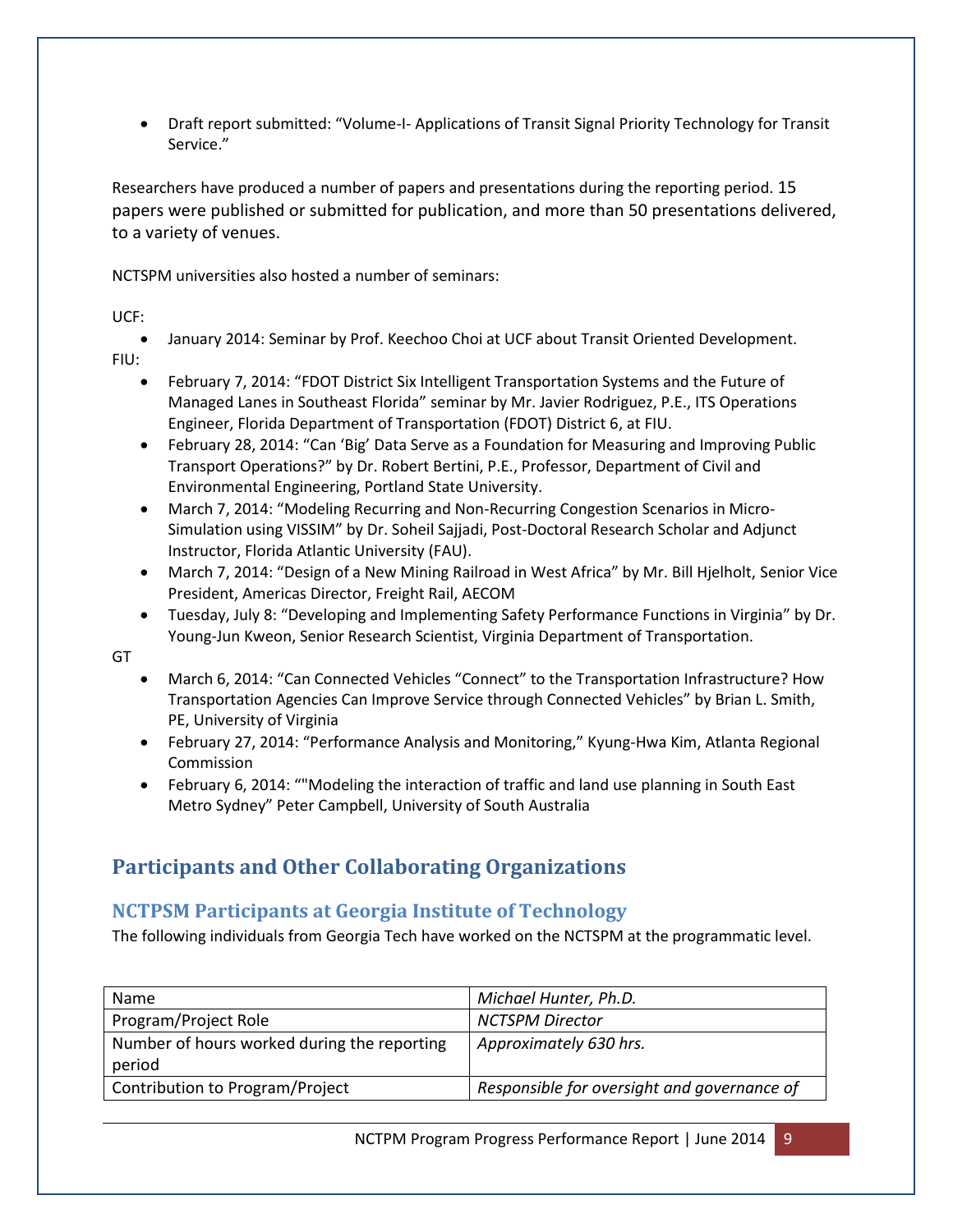Draft report submitted: "Volume-I- Applications of Transit Signal Priority Technology for Transit Service."

Researchers have produced a number of papers and presentations during the reporting period. 15 papers were published or submitted for publication, and more than 50 presentations delivered, to a variety of venues.

NCTSPM universities also hosted a number of seminars:

UCF:

 January 2014: Seminar by Prof. Keechoo Choi at UCF about Transit Oriented Development. FIU:

- February 7, 2014: "FDOT District Six Intelligent Transportation Systems and the Future of Managed Lanes in Southeast Florida" seminar by Mr. Javier Rodriguez, P.E., ITS Operations Engineer, Florida Department of Transportation (FDOT) District 6, at FIU.
- February 28, 2014: "Can 'Big' Data Serve as a Foundation for Measuring and Improving Public Transport Operations?" by Dr. Robert Bertini, P.E., Professor, Department of Civil and Environmental Engineering, Portland State University.
- March 7, 2014: "Modeling Recurring and Non-Recurring Congestion Scenarios in Micro-Simulation using VISSIM" by Dr. Soheil Sajjadi, Post-Doctoral Research Scholar and Adjunct Instructor, Florida Atlantic University (FAU).
- March 7, 2014: "Design of a New Mining Railroad in West Africa" by Mr. Bill Hjelholt, Senior Vice President, Americas Director, Freight Rail, AECOM
- Tuesday, July 8: "Developing and Implementing Safety Performance Functions in Virginia" by Dr. Young-Jun Kweon, Senior Research Scientist, Virginia Department of Transportation.

GT

- March 6, 2014: "Can Connected Vehicles "Connect" to the Transportation Infrastructure? How Transportation Agencies Can Improve Service through Connected Vehicles" by Brian L. Smith, PE, University of Virginia
- February 27, 2014: "Performance Analysis and Monitoring," Kyung-Hwa Kim, Atlanta Regional Commission
- February 6, 2014: ""Modeling the interaction of traffic and land use planning in South East Metro Sydney" Peter Campbell, University of South Australia

# **Participants and Other Collaborating Organizations**

# **NCTPSM Participants at Georgia Institute of Technology**

The following individuals from Georgia Tech have worked on the NCTSPM at the programmatic level.

| Name                                        | Michael Hunter, Ph.D.                       |
|---------------------------------------------|---------------------------------------------|
| Program/Project Role                        | <b>NCTSPM Director</b>                      |
| Number of hours worked during the reporting | Approximately 630 hrs.                      |
| period                                      |                                             |
| Contribution to Program/Project             | Responsible for oversight and governance of |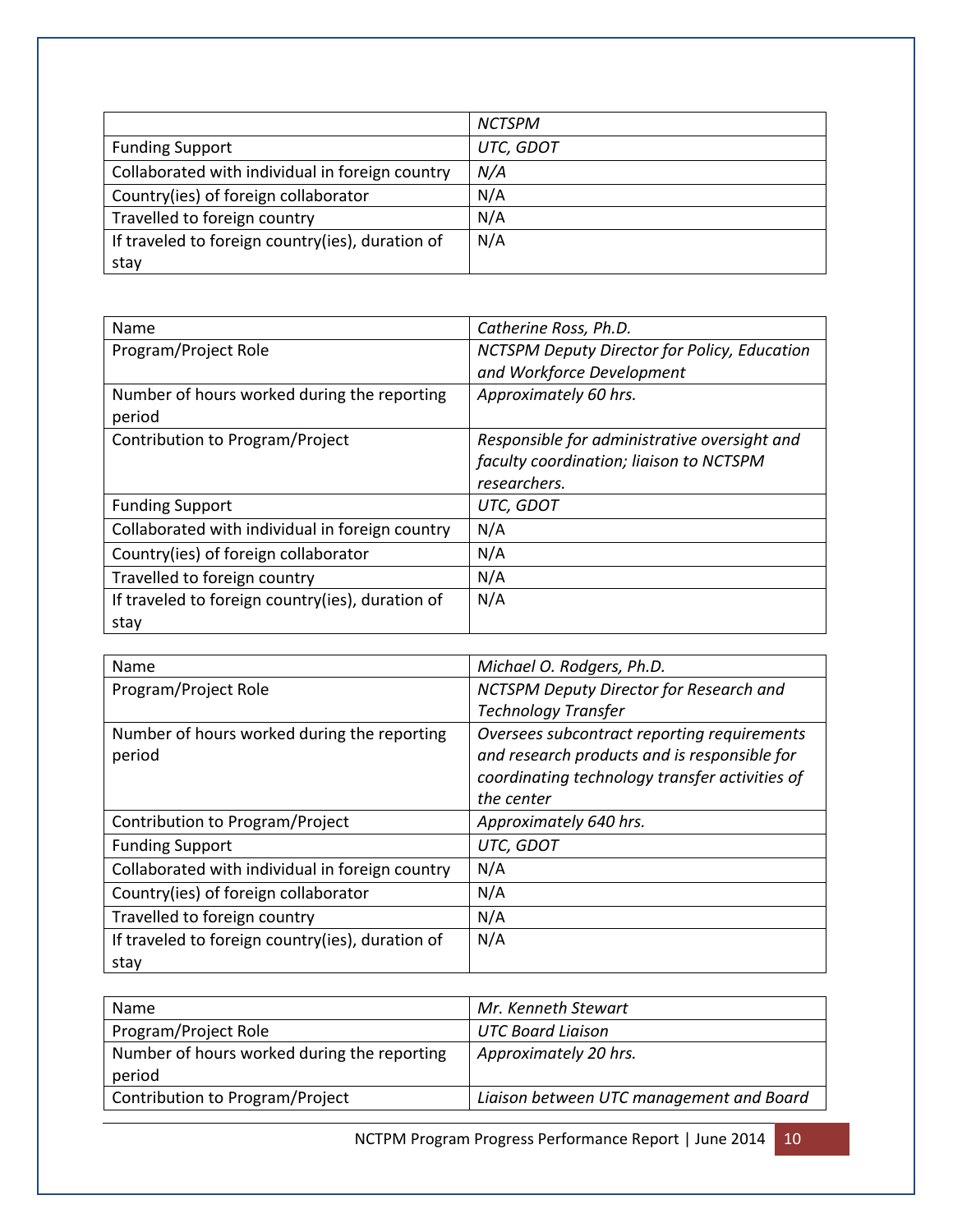|                                                  | <b>NCTSPM</b> |
|--------------------------------------------------|---------------|
| <b>Funding Support</b>                           | UTC, GDOT     |
| Collaborated with individual in foreign country  | N/A           |
| Country(ies) of foreign collaborator             | N/A           |
| Travelled to foreign country                     | N/A           |
| If traveled to foreign country(ies), duration of | N/A           |
| stay                                             |               |

| Name                                             | Catherine Ross, Ph.D.                        |
|--------------------------------------------------|----------------------------------------------|
| Program/Project Role                             | NCTSPM Deputy Director for Policy, Education |
|                                                  | and Workforce Development                    |
| Number of hours worked during the reporting      | Approximately 60 hrs.                        |
| period                                           |                                              |
| Contribution to Program/Project                  | Responsible for administrative oversight and |
|                                                  | faculty coordination; liaison to NCTSPM      |
|                                                  | researchers.                                 |
| <b>Funding Support</b>                           | UTC, GDOT                                    |
| Collaborated with individual in foreign country  | N/A                                          |
| Country(ies) of foreign collaborator             | N/A                                          |
| Travelled to foreign country                     | N/A                                          |
| If traveled to foreign country(ies), duration of | N/A                                          |
| stay                                             |                                              |

| Name                                             | Michael O. Rodgers, Ph.D.                      |
|--------------------------------------------------|------------------------------------------------|
| Program/Project Role                             | NCTSPM Deputy Director for Research and        |
|                                                  | <b>Technology Transfer</b>                     |
| Number of hours worked during the reporting      | Oversees subcontract reporting requirements    |
| period                                           | and research products and is responsible for   |
|                                                  | coordinating technology transfer activities of |
|                                                  | the center                                     |
| Contribution to Program/Project                  | Approximately 640 hrs.                         |
| <b>Funding Support</b>                           | UTC, GDOT                                      |
| Collaborated with individual in foreign country  | N/A                                            |
| Country(ies) of foreign collaborator             | N/A                                            |
| Travelled to foreign country                     | N/A                                            |
| If traveled to foreign country(ies), duration of | N/A                                            |
| stay                                             |                                                |

| Name                                                  | Mr. Kenneth Stewart                      |
|-------------------------------------------------------|------------------------------------------|
| Program/Project Role                                  | <b>UTC Board Liaison</b>                 |
| Number of hours worked during the reporting<br>period | Approximately 20 hrs.                    |
| Contribution to Program/Project                       | Liaison between UTC management and Board |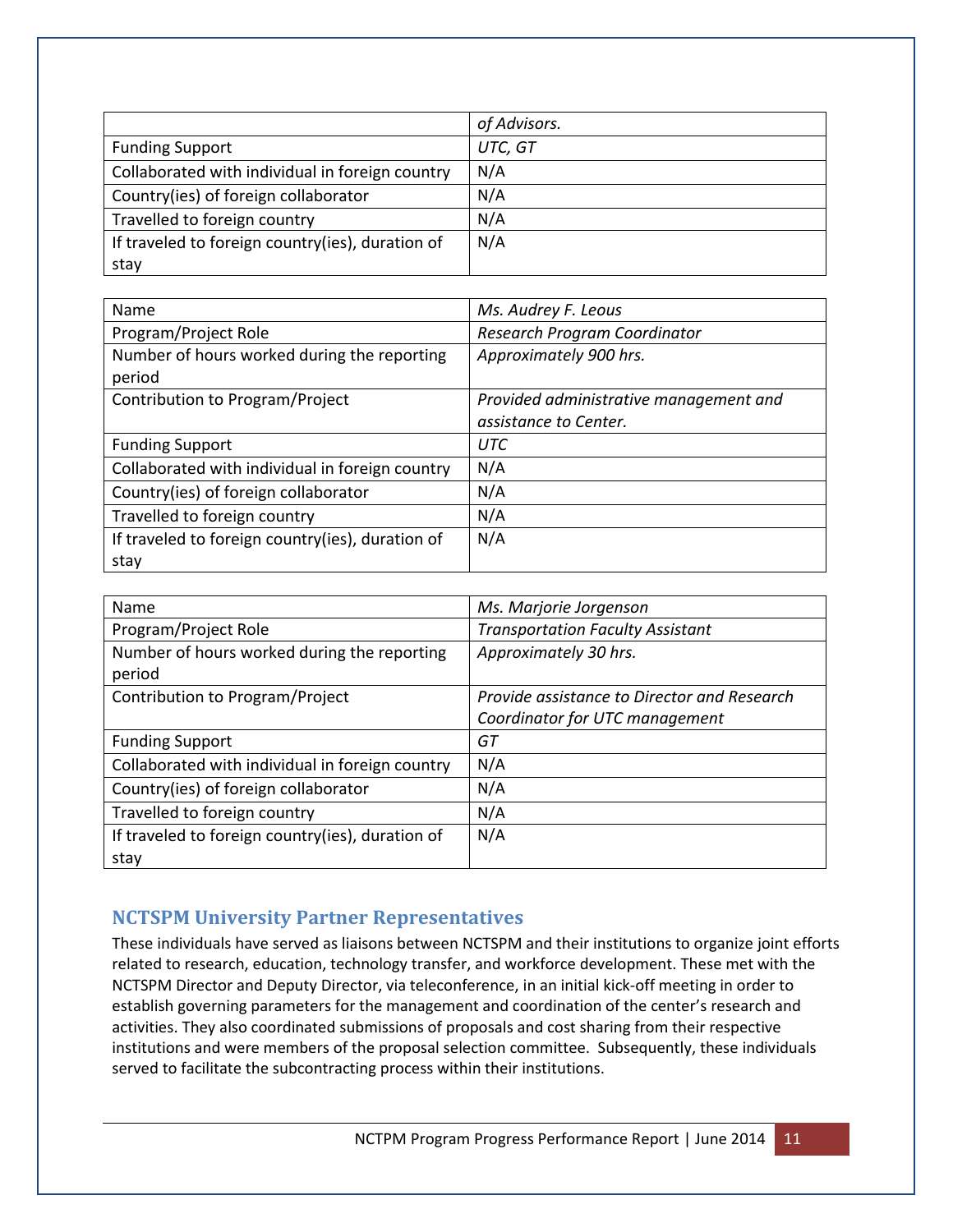|                                                  | of Advisors. |
|--------------------------------------------------|--------------|
| <b>Funding Support</b>                           | UTC, GT      |
| Collaborated with individual in foreign country  | N/A          |
| Country(ies) of foreign collaborator             | N/A          |
| Travelled to foreign country                     | N/A          |
| If traveled to foreign country(ies), duration of | N/A          |
| stay                                             |              |

| Name                                             | Ms. Audrey F. Leous                    |
|--------------------------------------------------|----------------------------------------|
| Program/Project Role                             | Research Program Coordinator           |
| Number of hours worked during the reporting      | Approximately 900 hrs.                 |
| period                                           |                                        |
| Contribution to Program/Project                  | Provided administrative management and |
|                                                  | assistance to Center.                  |
| <b>Funding Support</b>                           | UTC                                    |
| Collaborated with individual in foreign country  | N/A                                    |
| Country(ies) of foreign collaborator             | N/A                                    |
| Travelled to foreign country                     | N/A                                    |
| If traveled to foreign country(ies), duration of | N/A                                    |
| stay                                             |                                        |

| Name                                             | Ms. Marjorie Jorgenson                      |
|--------------------------------------------------|---------------------------------------------|
| Program/Project Role                             | <b>Transportation Faculty Assistant</b>     |
| Number of hours worked during the reporting      | Approximately 30 hrs.                       |
| period                                           |                                             |
| Contribution to Program/Project                  | Provide assistance to Director and Research |
|                                                  | Coordinator for UTC management              |
| <b>Funding Support</b>                           | GT                                          |
| Collaborated with individual in foreign country  | N/A                                         |
| Country(ies) of foreign collaborator             | N/A                                         |
| Travelled to foreign country                     | N/A                                         |
| If traveled to foreign country(ies), duration of | N/A                                         |
| stay                                             |                                             |

### **NCTSPM University Partner Representatives**

These individuals have served as liaisons between NCTSPM and their institutions to organize joint efforts related to research, education, technology transfer, and workforce development. These met with the NCTSPM Director and Deputy Director, via teleconference, in an initial kick-off meeting in order to establish governing parameters for the management and coordination of the center's research and activities. They also coordinated submissions of proposals and cost sharing from their respective institutions and were members of the proposal selection committee. Subsequently, these individuals served to facilitate the subcontracting process within their institutions.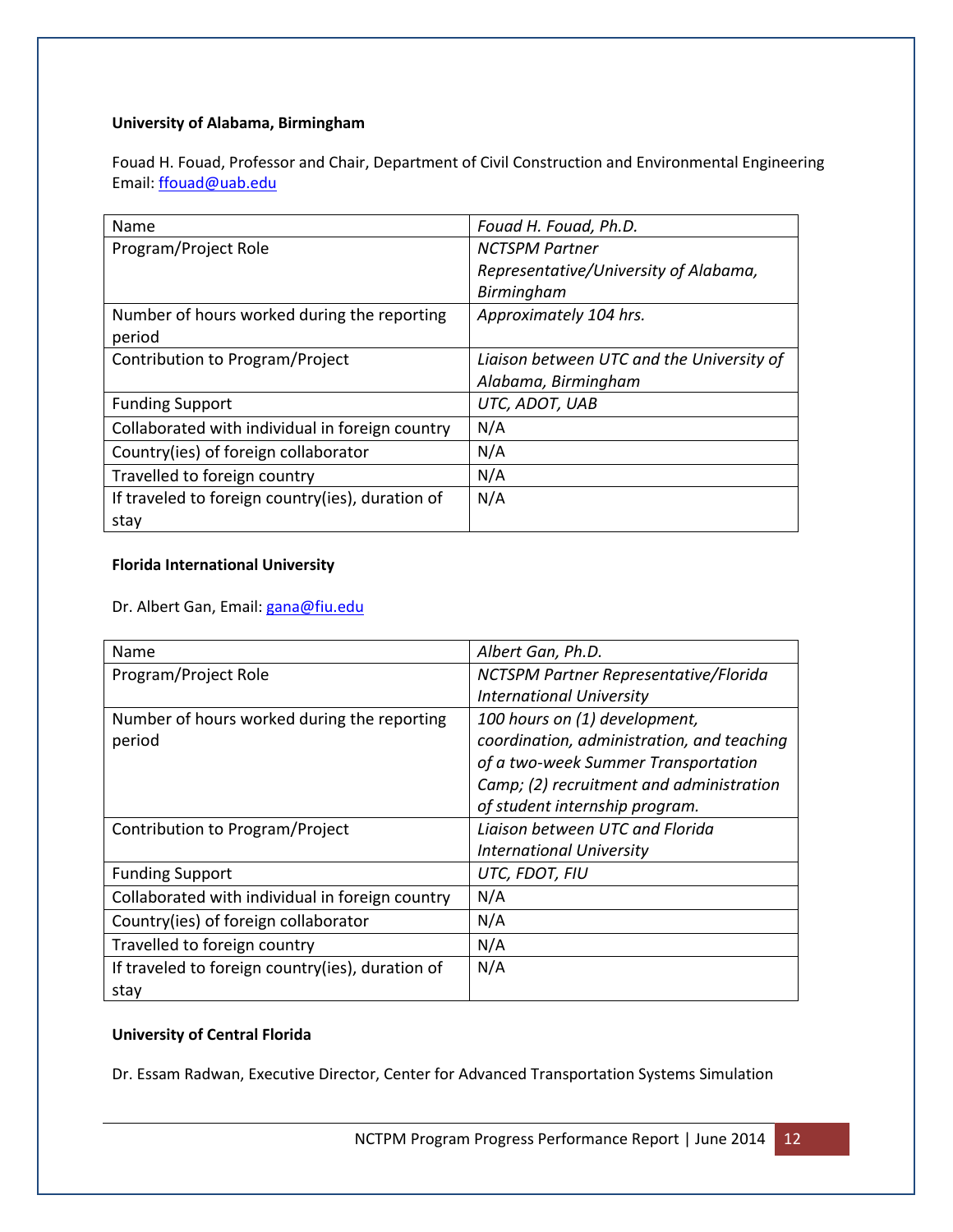#### **University of Alabama, Birmingham**

Fouad H. Fouad, Professor and Chair, Department of Civil Construction and Environmental Engineering Email: [ffouad@uab.edu](mailto:ffouad@uab.edu)

| Name                                             | Fouad H. Fouad, Ph.D.                     |
|--------------------------------------------------|-------------------------------------------|
| Program/Project Role                             | <b>NCTSPM Partner</b>                     |
|                                                  | Representative/University of Alabama,     |
|                                                  | Birmingham                                |
| Number of hours worked during the reporting      | Approximately 104 hrs.                    |
| period                                           |                                           |
| Contribution to Program/Project                  | Liaison between UTC and the University of |
|                                                  | Alabama, Birmingham                       |
| <b>Funding Support</b>                           | UTC, ADOT, UAB                            |
| Collaborated with individual in foreign country  | N/A                                       |
| Country(ies) of foreign collaborator             | N/A                                       |
| Travelled to foreign country                     | N/A                                       |
| If traveled to foreign country(ies), duration of | N/A                                       |
| stay                                             |                                           |

#### **Florida International University**

Dr. Albert Gan, Email: [gana@fiu.edu](mailto:gana@fiu.edu)

| Name                                             | Albert Gan, Ph.D.                          |
|--------------------------------------------------|--------------------------------------------|
| Program/Project Role                             | NCTSPM Partner Representative/Florida      |
|                                                  | <b>International University</b>            |
| Number of hours worked during the reporting      | 100 hours on (1) development,              |
| period                                           | coordination, administration, and teaching |
|                                                  | of a two-week Summer Transportation        |
|                                                  | Camp; (2) recruitment and administration   |
|                                                  | of student internship program.             |
| Contribution to Program/Project                  | Ligison between UTC and Florida            |
|                                                  | <b>International University</b>            |
| <b>Funding Support</b>                           | UTC, FDOT, FIU                             |
| Collaborated with individual in foreign country  | N/A                                        |
| Country(ies) of foreign collaborator             | N/A                                        |
| Travelled to foreign country                     | N/A                                        |
| If traveled to foreign country(ies), duration of | N/A                                        |
| stay                                             |                                            |

#### **University of Central Florida**

Dr. Essam Radwan, Executive Director, Center for Advanced Transportation Systems Simulation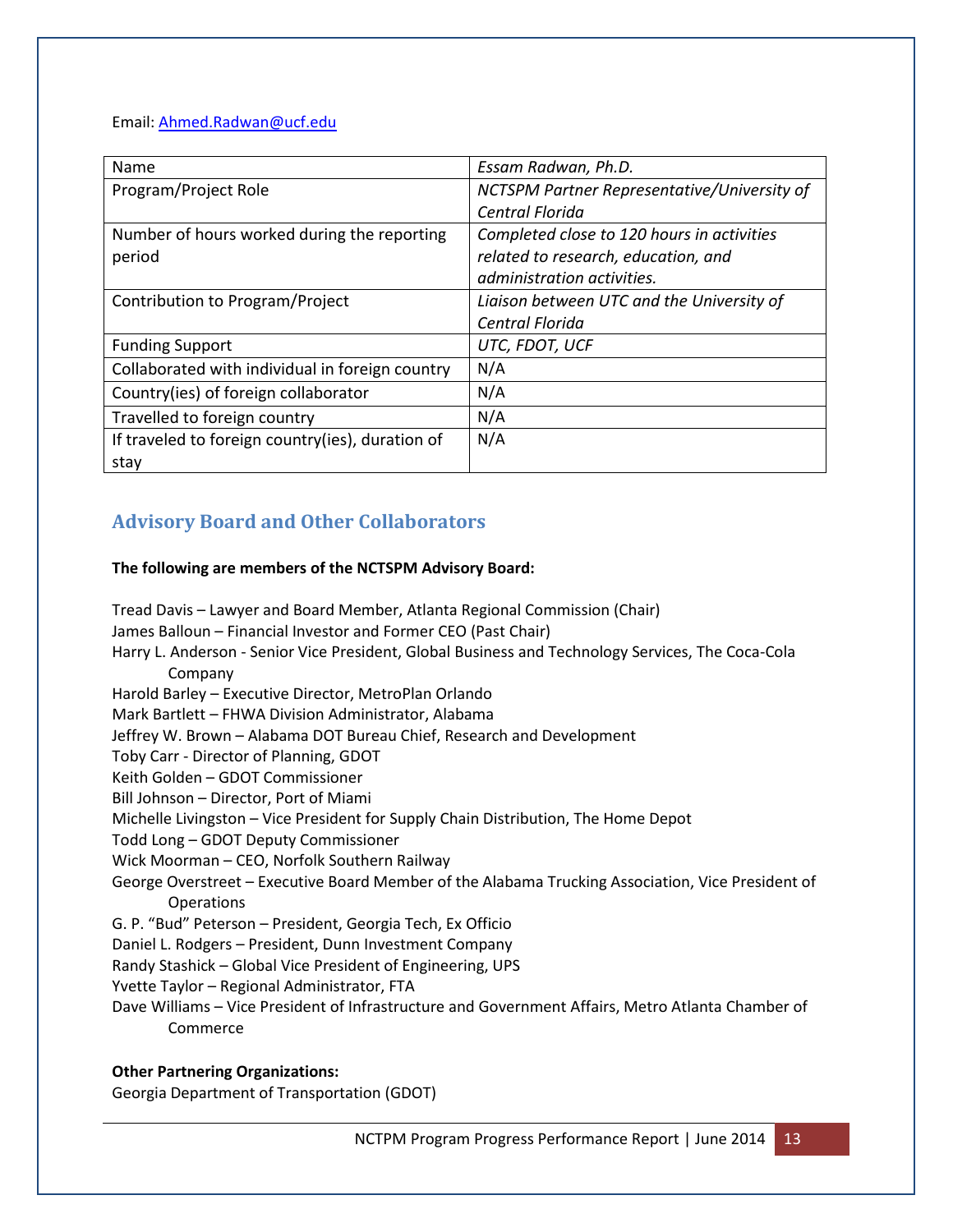Email: [Ahmed.Radwan@ucf.edu](mailto:Ahmed.Radwan@ucf.edu)

| Name                                             | Essam Radwan, Ph.D.                         |
|--------------------------------------------------|---------------------------------------------|
| Program/Project Role                             | NCTSPM Partner Representative/University of |
|                                                  | Central Florida                             |
| Number of hours worked during the reporting      | Completed close to 120 hours in activities  |
| period                                           | related to research, education, and         |
|                                                  | administration activities.                  |
| Contribution to Program/Project                  | Liaison between UTC and the University of   |
|                                                  | Central Florida                             |
| <b>Funding Support</b>                           | UTC, FDOT, UCF                              |
| Collaborated with individual in foreign country  | N/A                                         |
| Country(ies) of foreign collaborator             | N/A                                         |
| Travelled to foreign country                     | N/A                                         |
| If traveled to foreign country(ies), duration of | N/A                                         |
| stay                                             |                                             |

### **Advisory Board and Other Collaborators**

#### **The following are members of the NCTSPM Advisory Board:**

Tread Davis – Lawyer and Board Member, Atlanta Regional Commission (Chair) James Balloun – Financial Investor and Former CEO (Past Chair) Harry L. Anderson - Senior Vice President, Global Business and Technology Services, The Coca-Cola Company Harold Barley – Executive Director, MetroPlan Orlando Mark Bartlett – FHWA Division Administrator, Alabama Jeffrey W. Brown – Alabama DOT Bureau Chief, Research and Development Toby Carr - Director of Planning, GDOT Keith Golden – GDOT Commissioner Bill Johnson – Director, Port of Miami Michelle Livingston – Vice President for Supply Chain Distribution, The Home Depot Todd Long – GDOT Deputy Commissioner Wick Moorman – CEO, Norfolk Southern Railway George Overstreet – Executive Board Member of the Alabama Trucking Association, Vice President of Operations G. P. "Bud" Peterson – President, Georgia Tech, Ex Officio Daniel L. Rodgers – President, Dunn Investment Company Randy Stashick – Global Vice President of Engineering, UPS Yvette Taylor – Regional Administrator, FTA Dave Williams – Vice President of Infrastructure and Government Affairs, Metro Atlanta Chamber of Commerce

#### **Other Partnering Organizations:**

Georgia Department of Transportation (GDOT)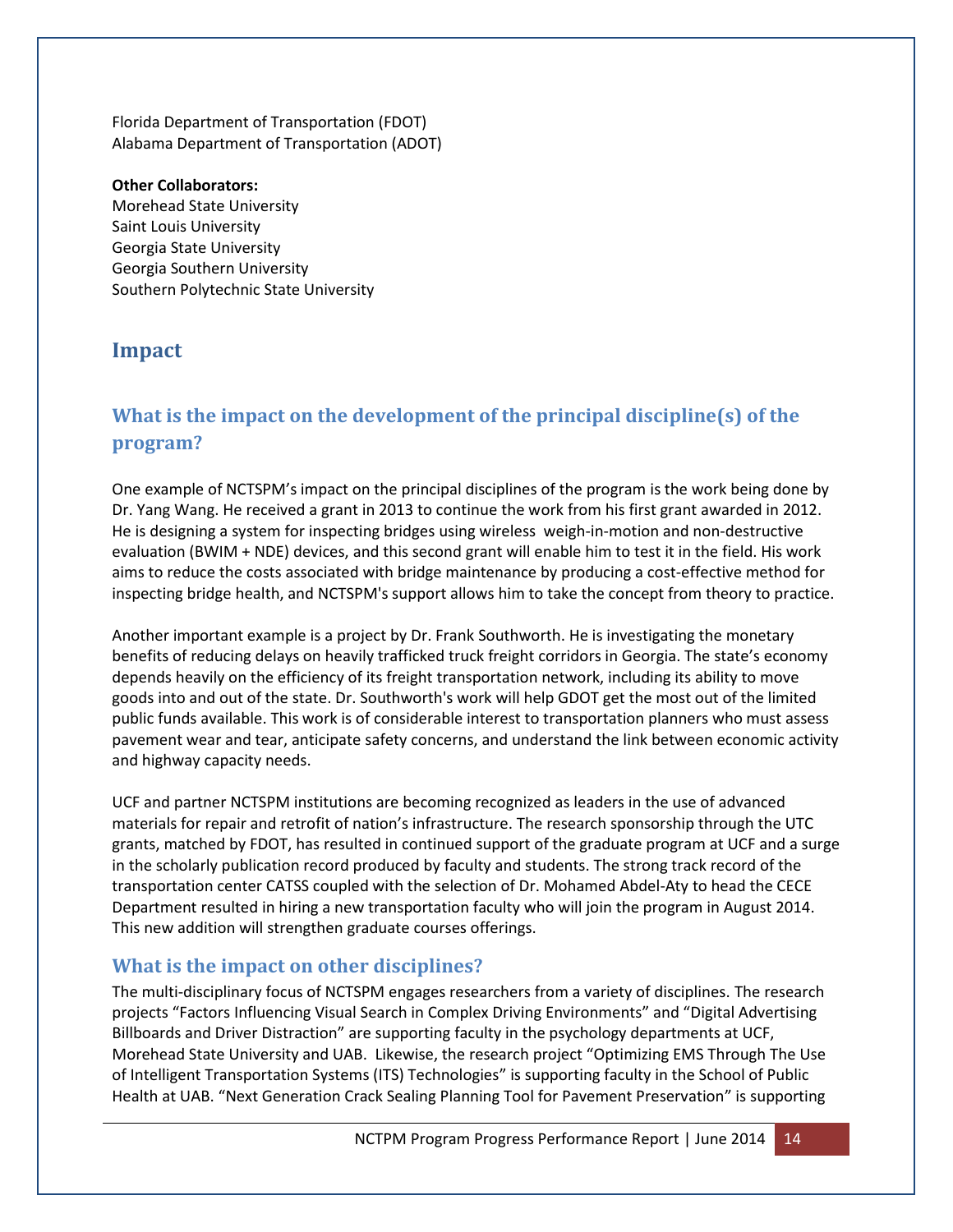Florida Department of Transportation (FDOT) Alabama Department of Transportation (ADOT)

#### **Other Collaborators:**

Morehead State University Saint Louis University Georgia State University Georgia Southern University Southern Polytechnic State University

### **Impact**

# **What is the impact on the development of the principal discipline(s) of the program?**

One example of NCTSPM's impact on the principal disciplines of the program is the work being done by Dr. Yang Wang. He received a grant in 2013 to continue the work from his first grant awarded in 2012. He is designing a system for inspecting bridges using wireless weigh-in-motion and non-destructive evaluation (BWIM + NDE) devices, and this second grant will enable him to test it in the field. His work aims to reduce the costs associated with bridge maintenance by producing a cost-effective method for inspecting bridge health, and NCTSPM's support allows him to take the concept from theory to practice.

Another important example is a project by Dr. Frank Southworth. He is investigating the monetary benefits of reducing delays on heavily trafficked truck freight corridors in Georgia. The state's economy depends heavily on the efficiency of its freight transportation network, including its ability to move goods into and out of the state. Dr. Southworth's work will help GDOT get the most out of the limited public funds available. This work is of considerable interest to transportation planners who must assess pavement wear and tear, anticipate safety concerns, and understand the link between economic activity and highway capacity needs.

UCF and partner NCTSPM institutions are becoming recognized as leaders in the use of advanced materials for repair and retrofit of nation's infrastructure. The research sponsorship through the UTC grants, matched by FDOT, has resulted in continued support of the graduate program at UCF and a surge in the scholarly publication record produced by faculty and students. The strong track record of the transportation center CATSS coupled with the selection of Dr. Mohamed Abdel-Aty to head the CECE Department resulted in hiring a new transportation faculty who will join the program in August 2014. This new addition will strengthen graduate courses offerings.

### **What is the impact on other disciplines?**

The multi-disciplinary focus of NCTSPM engages researchers from a variety of disciplines. The research projects "Factors Influencing Visual Search in Complex Driving Environments" and "Digital Advertising Billboards and Driver Distraction" are supporting faculty in the psychology departments at UCF, Morehead State University and UAB. Likewise, the research project "Optimizing EMS Through The Use of Intelligent Transportation Systems (ITS) Technologies" is supporting faculty in the School of Public Health at UAB. "Next Generation Crack Sealing Planning Tool for Pavement Preservation" is supporting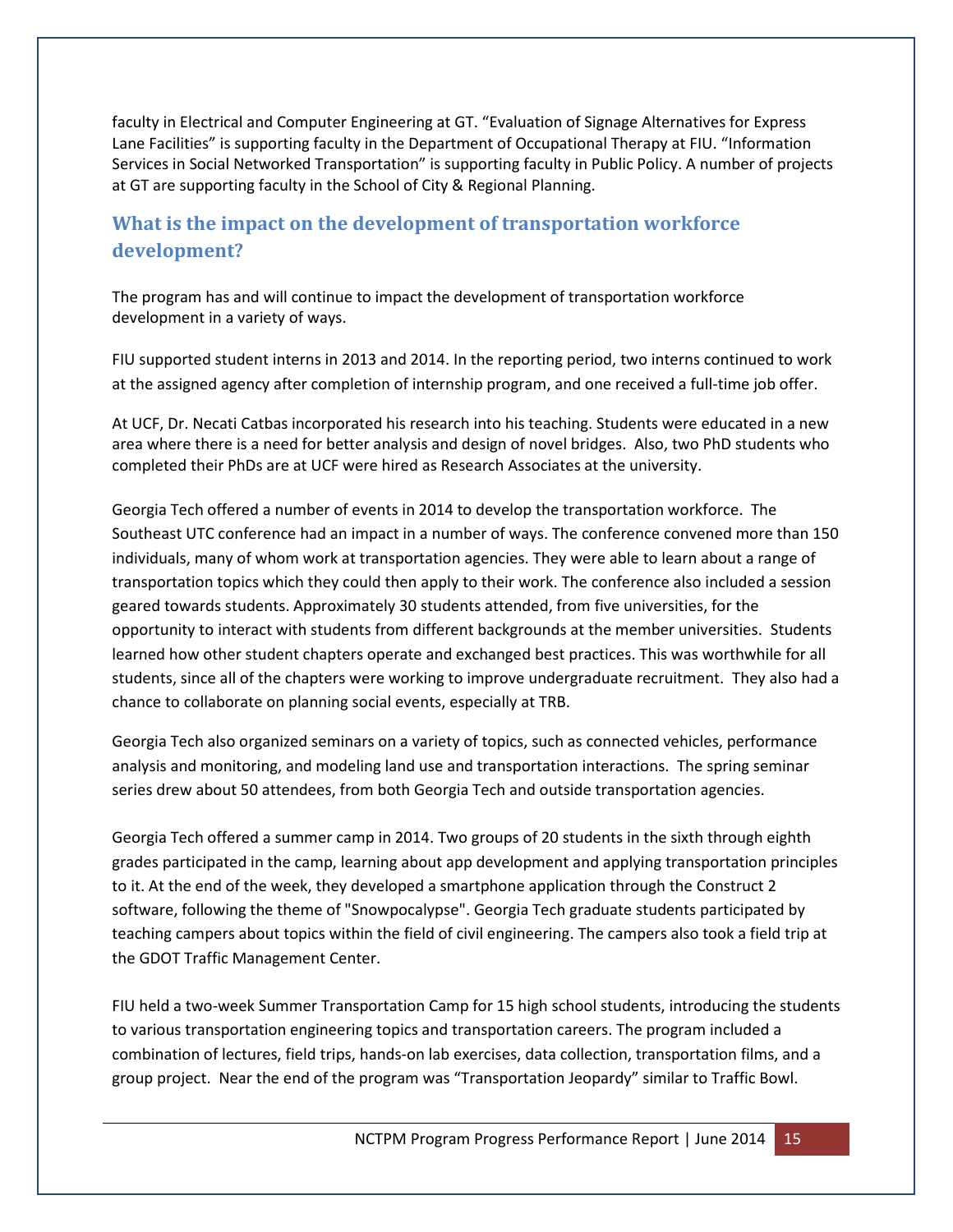faculty in Electrical and Computer Engineering at GT. "Evaluation of Signage Alternatives for Express Lane Facilities" is supporting faculty in the Department of Occupational Therapy at FIU. "Information Services in Social Networked Transportation" is supporting faculty in Public Policy. A number of projects at GT are supporting faculty in the School of City & Regional Planning.

# **What is the impact on the development of transportation workforce development?**

The program has and will continue to impact the development of transportation workforce development in a variety of ways.

FIU supported student interns in 2013 and 2014. In the reporting period, two interns continued to work at the assigned agency after completion of internship program, and one received a full-time job offer.

At UCF, Dr. Necati Catbas incorporated his research into his teaching. Students were educated in a new area where there is a need for better analysis and design of novel bridges. Also, two PhD students who completed their PhDs are at UCF were hired as Research Associates at the university.

Georgia Tech offered a number of events in 2014 to develop the transportation workforce. The Southeast UTC conference had an impact in a number of ways. The conference convened more than 150 individuals, many of whom work at transportation agencies. They were able to learn about a range of transportation topics which they could then apply to their work. The conference also included a session geared towards students. Approximately 30 students attended, from five universities, for the opportunity to interact with students from different backgrounds at the member universities. Students learned how other student chapters operate and exchanged best practices. This was worthwhile for all students, since all of the chapters were working to improve undergraduate recruitment. They also had a chance to collaborate on planning social events, especially at TRB.

Georgia Tech also organized seminars on a variety of topics, such as connected vehicles, performance analysis and monitoring, and modeling land use and transportation interactions. The spring seminar series drew about 50 attendees, from both Georgia Tech and outside transportation agencies.

Georgia Tech offered a summer camp in 2014. Two groups of 20 students in the sixth through eighth grades participated in the camp, learning about app development and applying transportation principles to it. At the end of the week, they developed a smartphone application through the Construct 2 software, following the theme of "Snowpocalypse". Georgia Tech graduate students participated by teaching campers about topics within the field of civil engineering. The campers also took a field trip at the GDOT Traffic Management Center.

FIU held a two-week Summer Transportation Camp for 15 high school students, introducing the students to various transportation engineering topics and transportation careers. The program included a combination of lectures, field trips, hands-on lab exercises, data collection, transportation films, and a group project. Near the end of the program was "Transportation Jeopardy" similar to Traffic Bowl.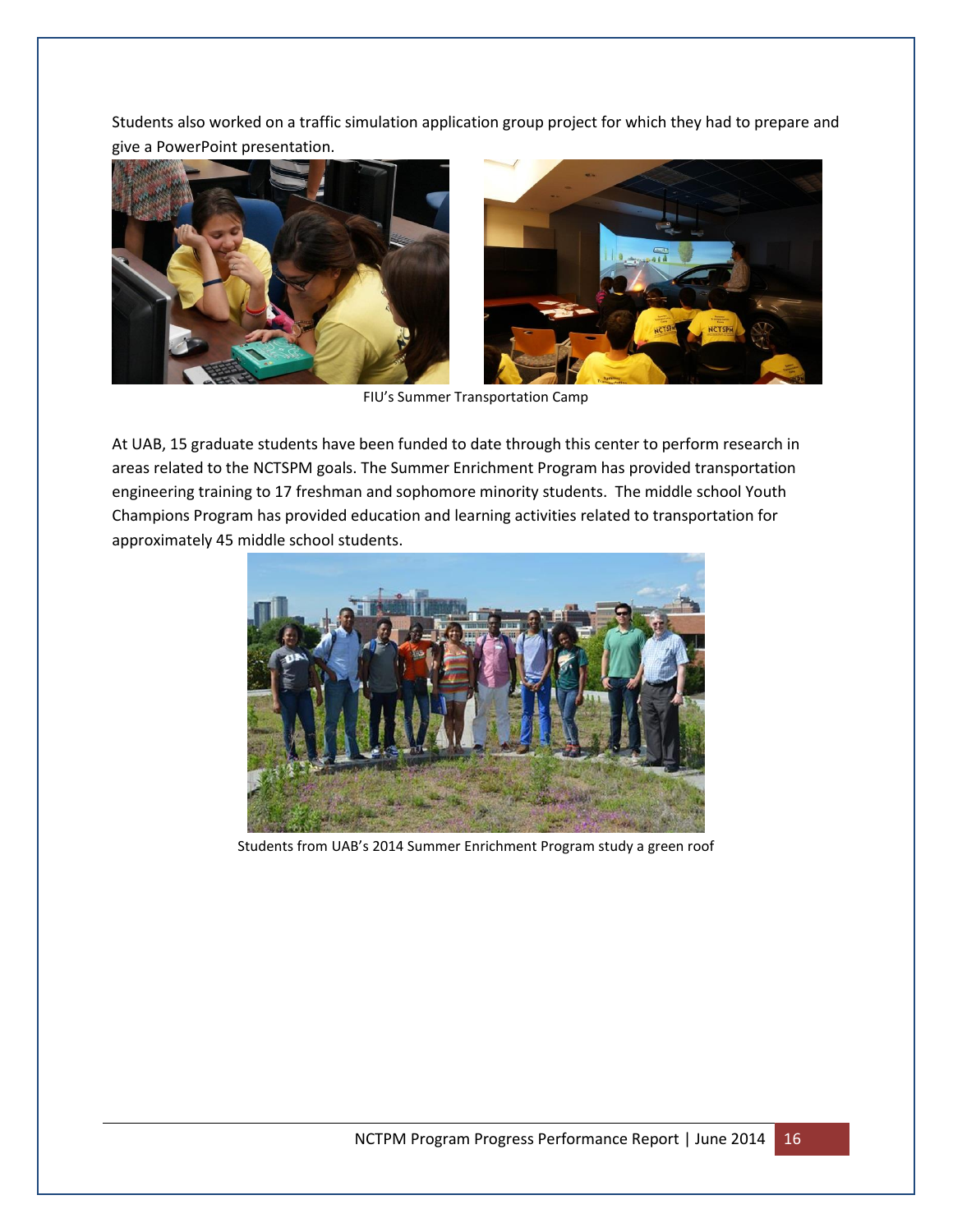Students also worked on a traffic simulation application group project for which they had to prepare and give a PowerPoint presentation.





FIU's Summer Transportation Camp

At UAB, 15 graduate students have been funded to date through this center to perform research in areas related to the NCTSPM goals. The Summer Enrichment Program has provided transportation engineering training to 17 freshman and sophomore minority students. The middle school Youth Champions Program has provided education and learning activities related to transportation for approximately 45 middle school students.



Students from UAB's 2014 Summer Enrichment Program study a green roof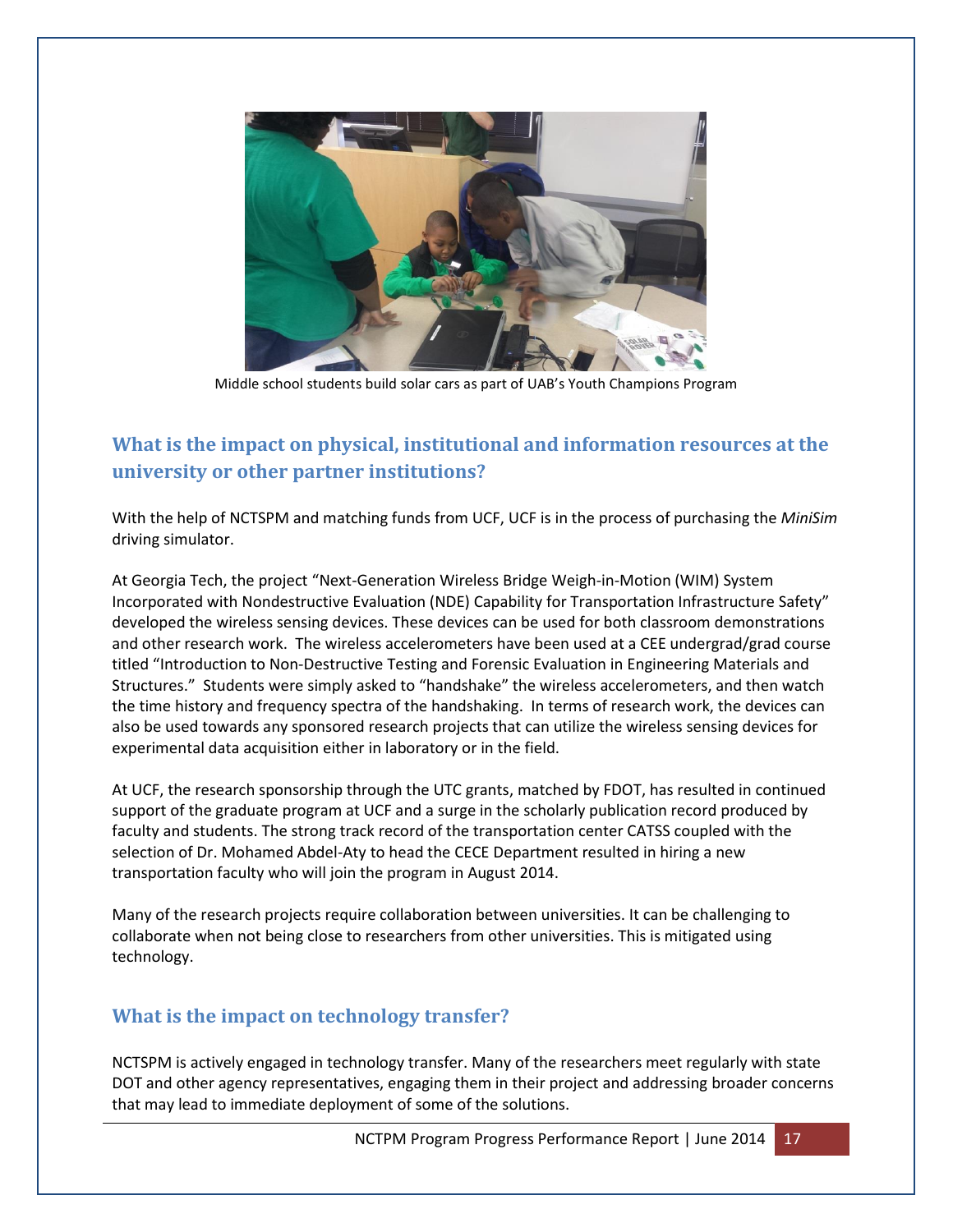

Middle school students build solar cars as part of UAB's Youth Champions Program

## **What is the impact on physical, institutional and information resources at the university or other partner institutions?**

With the help of NCTSPM and matching funds from UCF, UCF is in the process of purchasing the *MiniSim*  driving simulator.

At Georgia Tech, the project "Next-Generation Wireless Bridge Weigh-in-Motion (WIM) System Incorporated with Nondestructive Evaluation (NDE) Capability for Transportation Infrastructure Safety" developed the wireless sensing devices. These devices can be used for both classroom demonstrations and other research work. The wireless accelerometers have been used at a CEE undergrad/grad course titled "Introduction to Non-Destructive Testing and Forensic Evaluation in Engineering Materials and Structures." Students were simply asked to "handshake" the wireless accelerometers, and then watch the time history and frequency spectra of the handshaking. In terms of research work, the devices can also be used towards any sponsored research projects that can utilize the wireless sensing devices for experimental data acquisition either in laboratory or in the field.

At UCF, the research sponsorship through the UTC grants, matched by FDOT, has resulted in continued support of the graduate program at UCF and a surge in the scholarly publication record produced by faculty and students. The strong track record of the transportation center CATSS coupled with the selection of Dr. Mohamed Abdel-Aty to head the CECE Department resulted in hiring a new transportation faculty who will join the program in August 2014.

Many of the research projects require collaboration between universities. It can be challenging to collaborate when not being close to researchers from other universities. This is mitigated using technology.

### **What is the impact on technology transfer?**

NCTSPM is actively engaged in technology transfer. Many of the researchers meet regularly with state DOT and other agency representatives, engaging them in their project and addressing broader concerns that may lead to immediate deployment of some of the solutions.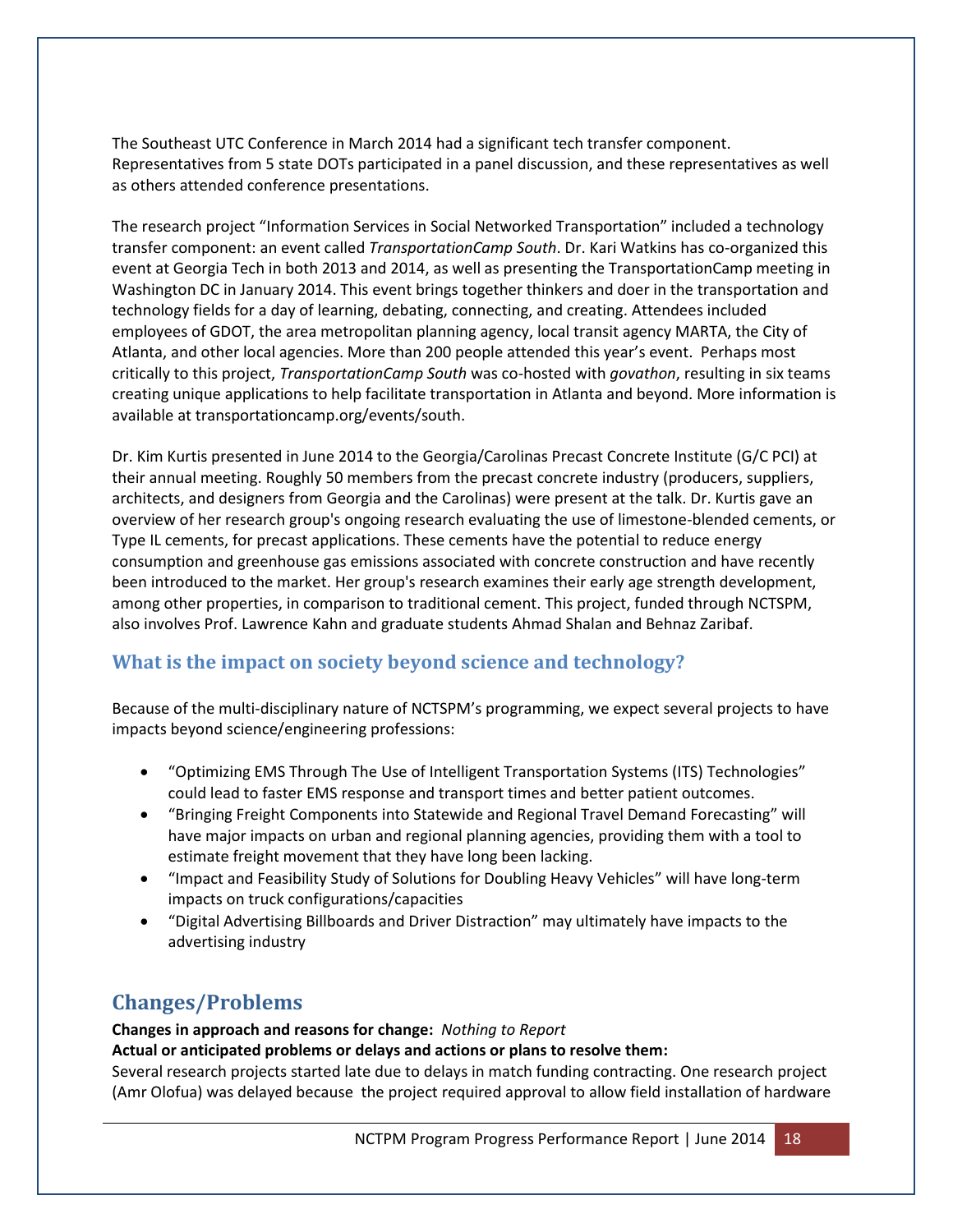The Southeast UTC Conference in March 2014 had a significant tech transfer component. Representatives from 5 state DOTs participated in a panel discussion, and these representatives as well as others attended conference presentations.

The research project "Information Services in Social Networked Transportation" included a technology transfer component: an event called *TransportationCamp South*. Dr. Kari Watkins has co-organized this event at Georgia Tech in both 2013 and 2014, as well as presenting the TransportationCamp meeting in Washington DC in January 2014. This event brings together thinkers and doer in the transportation and technology fields for a day of learning, debating, connecting, and creating. Attendees included employees of GDOT, the area metropolitan planning agency, local transit agency MARTA, the City of Atlanta, and other local agencies. More than 200 people attended this year's event. Perhaps most critically to this project, *TransportationCamp South* was co-hosted with *govathon*, resulting in six teams creating unique applications to help facilitate transportation in Atlanta and beyond. More information is available at transportationcamp.org/events/south.

Dr. Kim Kurtis presented in June 2014 to the Georgia/Carolinas Precast Concrete Institute (G/C PCI) at their annual meeting. Roughly 50 members from the precast concrete industry (producers, suppliers, architects, and designers from Georgia and the Carolinas) were present at the talk. Dr. Kurtis gave an overview of her research group's ongoing research evaluating the use of limestone-blended cements, or Type IL cements, for precast applications. These cements have the potential to reduce energy consumption and greenhouse gas emissions associated with concrete construction and have recently been introduced to the market. Her group's research examines their early age strength development, among other properties, in comparison to traditional cement. This project, funded through NCTSPM, also involves Prof. Lawrence Kahn and graduate students Ahmad Shalan and Behnaz Zaribaf.

### **What is the impact on society beyond science and technology?**

Because of the multi-disciplinary nature of NCTSPM's programming, we expect several projects to have impacts beyond science/engineering professions:

- "Optimizing EMS Through The Use of Intelligent Transportation Systems (ITS) Technologies" could lead to faster EMS response and transport times and better patient outcomes.
- "Bringing Freight Components into Statewide and Regional Travel Demand Forecasting" will have major impacts on urban and regional planning agencies, providing them with a tool to estimate freight movement that they have long been lacking.
- "Impact and Feasibility Study of Solutions for Doubling Heavy Vehicles" will have long-term impacts on truck configurations/capacities
- "Digital Advertising Billboards and Driver Distraction" may ultimately have impacts to the advertising industry

# **Changes/Problems**

**Changes in approach and reasons for change:** *Nothing to Report* **Actual or anticipated problems or delays and actions or plans to resolve them:**  Several research projects started late due to delays in match funding contracting. One research project (Amr Olofua) was delayed because the project required approval to allow field installation of hardware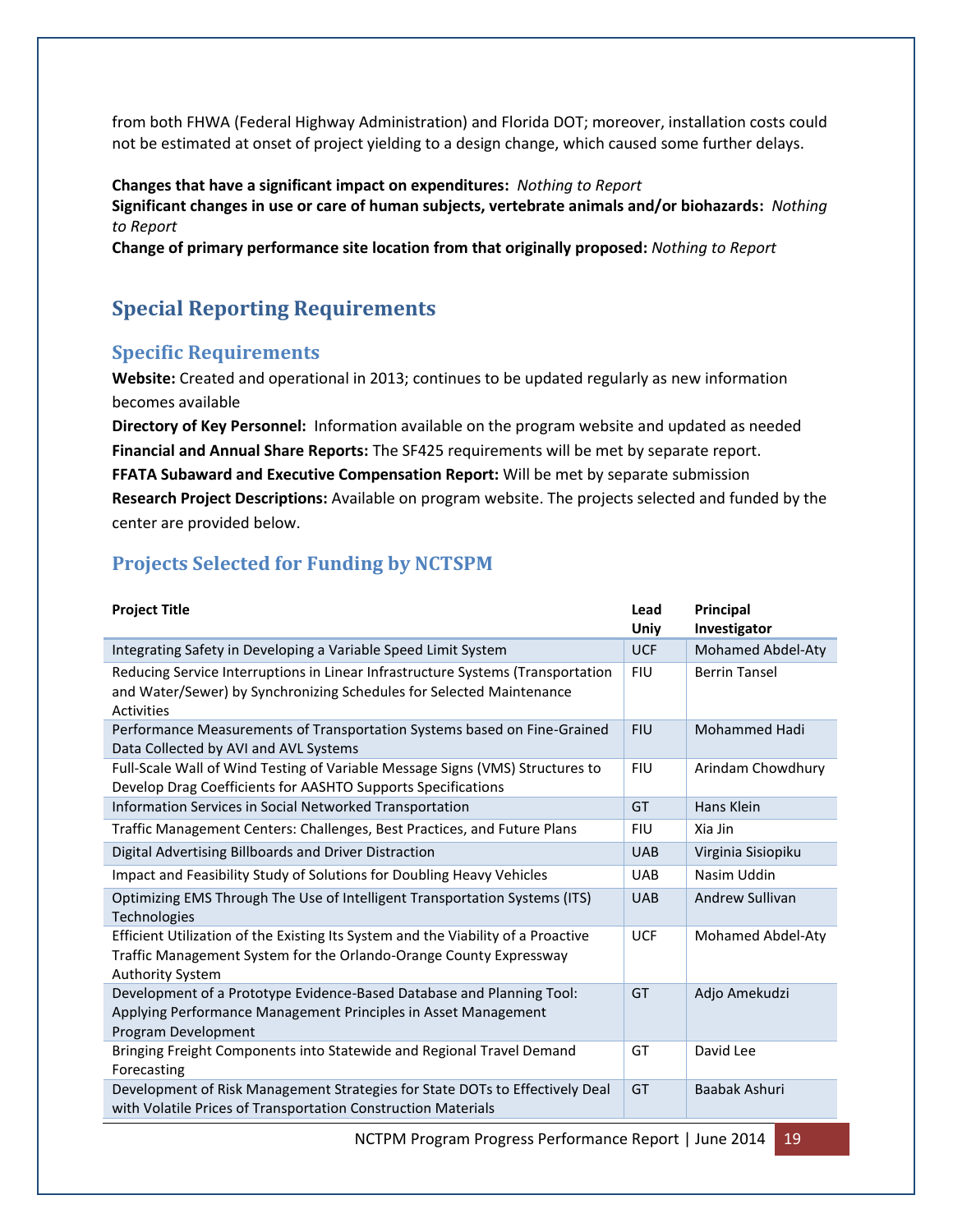from both FHWA (Federal Highway Administration) and Florida DOT; moreover, installation costs could not be estimated at onset of project yielding to a design change, which caused some further delays.

#### **Changes that have a significant impact on expenditures:** *Nothing to Report*

**Significant changes in use or care of human subjects, vertebrate animals and/or biohazards:** *Nothing to Report*

**Change of primary performance site location from that originally proposed:** *Nothing to Report*

# **Special Reporting Requirements**

### **Specific Requirements**

**Website:** Created and operational in 2013; continues to be updated regularly as new information becomes available

**Directory of Key Personnel:** Information available on the program website and updated as needed **Financial and Annual Share Reports:** The SF425 requirements will be met by separate report. **FFATA Subaward and Executive Compensation Report:** Will be met by separate submission **Research Project Descriptions:** Available on program website. The projects selected and funded by the center are provided below.

### **Projects Selected for Funding by NCTSPM**

| <b>Project Title</b>                                                                                                                                                               | Lead<br>Univ | Principal<br>Investigator |
|------------------------------------------------------------------------------------------------------------------------------------------------------------------------------------|--------------|---------------------------|
| Integrating Safety in Developing a Variable Speed Limit System                                                                                                                     | <b>UCF</b>   | <b>Mohamed Abdel-Aty</b>  |
| Reducing Service Interruptions in Linear Infrastructure Systems (Transportation<br>and Water/Sewer) by Synchronizing Schedules for Selected Maintenance<br>Activities              | <b>FIU</b>   | <b>Berrin Tansel</b>      |
| Performance Measurements of Transportation Systems based on Fine-Grained<br>Data Collected by AVI and AVL Systems                                                                  | <b>FIU</b>   | <b>Mohammed Hadi</b>      |
| Full-Scale Wall of Wind Testing of Variable Message Signs (VMS) Structures to<br>Develop Drag Coefficients for AASHTO Supports Specifications                                      | <b>FIU</b>   | Arindam Chowdhury         |
| Information Services in Social Networked Transportation                                                                                                                            | GT           | Hans Klein                |
| Traffic Management Centers: Challenges, Best Practices, and Future Plans                                                                                                           | <b>FIU</b>   | Xia Jin                   |
| Digital Advertising Billboards and Driver Distraction                                                                                                                              | <b>UAB</b>   | Virginia Sisiopiku        |
| Impact and Feasibility Study of Solutions for Doubling Heavy Vehicles                                                                                                              | <b>UAB</b>   | Nasim Uddin               |
| Optimizing EMS Through The Use of Intelligent Transportation Systems (ITS)<br><b>Technologies</b>                                                                                  | <b>UAB</b>   | Andrew Sullivan           |
| Efficient Utilization of the Existing Its System and the Viability of a Proactive<br>Traffic Management System for the Orlando-Orange County Expressway<br><b>Authority System</b> | <b>UCF</b>   | Mohamed Abdel-Aty         |
| Development of a Prototype Evidence-Based Database and Planning Tool:<br>Applying Performance Management Principles in Asset Management<br>Program Development                     | GT           | Adjo Amekudzi             |
| Bringing Freight Components into Statewide and Regional Travel Demand<br>Forecasting                                                                                               | GT           | David Lee                 |
| Development of Risk Management Strategies for State DOTs to Effectively Deal<br>with Volatile Prices of Transportation Construction Materials                                      | GT           | Baabak Ashuri             |

NCTPM Program Progress Performance Report | June 2014 19